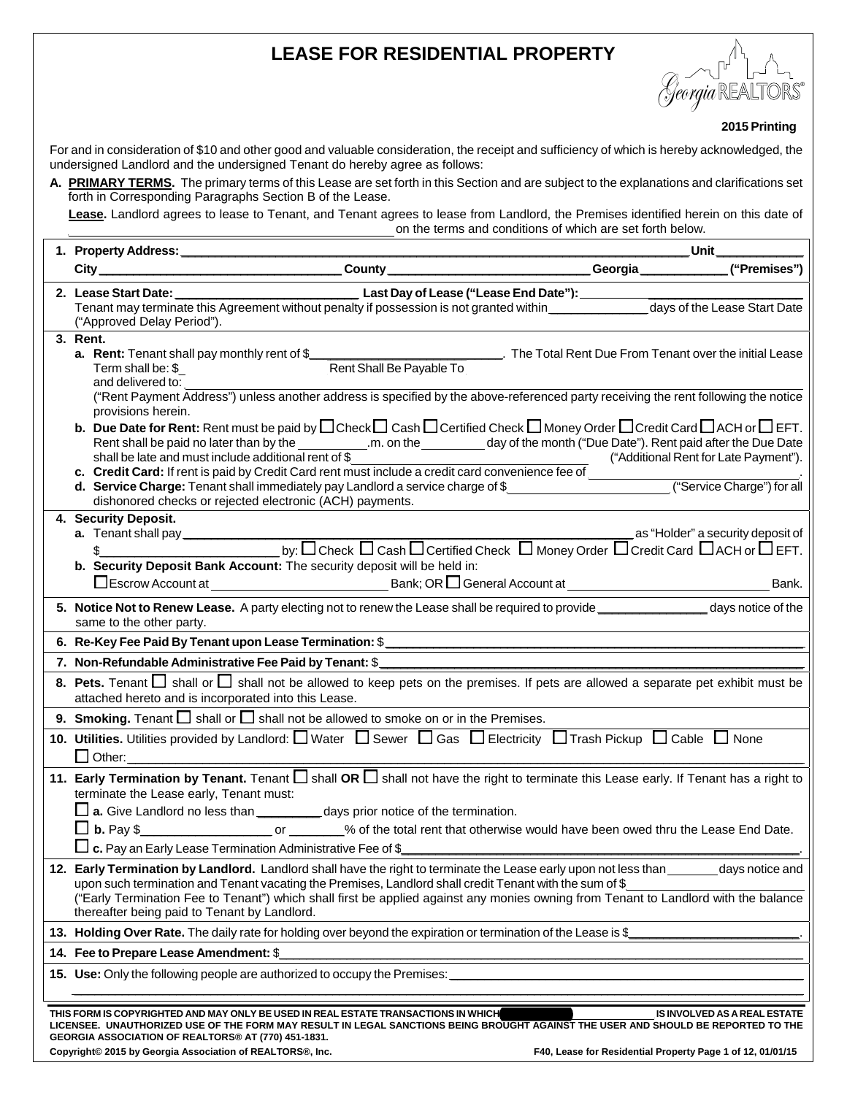# **LEASE FOR RESIDENTIAL PROPERTY**



 **2015 Printing** 

For and in consideration of \$10 and other good and valuable consideration, the receipt and sufficiency of which is hereby acknowledged, the undersigned Landlord and the undersigned Tenant do hereby agree as follows:

**A. PRIMARY TERMS.** The primary terms of this Lease are set forth in this Section and are subject to the explanations and clarifications set forth in Corresponding Paragraphs Section B of the Lease.

 $\mathbf{r}$ 

**Lease.** Landlord agrees to lease to Tenant, and Tenant agrees to lease from Landlord, the Premises identified herein on this date of on the terms and conditions of which are set forth below.

| <u> Unit______________</u><br>1. Property Address:                                                                                                                                                                                                                                                                                                                                                                                                                                                                                                                                                                                                                                                                         |  |  |  |
|----------------------------------------------------------------------------------------------------------------------------------------------------------------------------------------------------------------------------------------------------------------------------------------------------------------------------------------------------------------------------------------------------------------------------------------------------------------------------------------------------------------------------------------------------------------------------------------------------------------------------------------------------------------------------------------------------------------------------|--|--|--|
|                                                                                                                                                                                                                                                                                                                                                                                                                                                                                                                                                                                                                                                                                                                            |  |  |  |
| 2. Lease Start Date: Lease Charles Last Day of Lease ("Lease End Date"):<br>("Approved Delay Period").                                                                                                                                                                                                                                                                                                                                                                                                                                                                                                                                                                                                                     |  |  |  |
| 3. Rent.<br>The Total Rent Due From Tenant over the initial Lease<br><b>a.</b> Rent: Tenant shall pay monthly rent of \$<br>Term shall be: \$<br>Rent Shall Be Payable To<br>and delivered to:                                                                                                                                                                                                                                                                                                                                                                                                                                                                                                                             |  |  |  |
| ("Rent Payment Address") unless another address is specified by the above-referenced party receiving the rent following the notice<br>provisions herein.                                                                                                                                                                                                                                                                                                                                                                                                                                                                                                                                                                   |  |  |  |
| <b>b.</b> Due Date for Rent: Rent must be paid by $\Box$ Check $\Box$ Cash $\Box$ Certified Check $\Box$ Money Order $\Box$ Credit Card $\Box$ ACH or $\Box$ EFT.<br>Rent shall be paid no later than by the ____________.m. on the ___________ day of the month ("Due Date"). Rent paid after the Due Date<br>shall be late and must include additional rent of $$$<br>("Additional Rent for Late Payment").<br>Shall be late and must include additional rent of \$<br><b>c.</b> Credit Card: If rent is paid by Credit Card rent must include a credit card convenience fee of<br><b>d. Service Charge:</b> Tenant shall immediately pay Landlord a service<br>dishonored checks or rejected electronic (ACH) payments. |  |  |  |
| 4. Security Deposit.<br>b. Security Deposit Bank Account: The security deposit will be held in:<br>Bank.                                                                                                                                                                                                                                                                                                                                                                                                                                                                                                                                                                                                                   |  |  |  |
| 5. Notice Not to Renew Lease. A party electing not to renew the Lease shall be required to provide ________________ days notice of the<br>same to the other party.                                                                                                                                                                                                                                                                                                                                                                                                                                                                                                                                                         |  |  |  |
|                                                                                                                                                                                                                                                                                                                                                                                                                                                                                                                                                                                                                                                                                                                            |  |  |  |
| 7. Non-Refundable Administrative Fee Paid by Tenant: \$                                                                                                                                                                                                                                                                                                                                                                                                                                                                                                                                                                                                                                                                    |  |  |  |
| 8. Pets. Tenant $\Box$ shall or $\Box$ shall not be allowed to keep pets on the premises. If pets are allowed a separate pet exhibit must be<br>attached hereto and is incorporated into this Lease.                                                                                                                                                                                                                                                                                                                                                                                                                                                                                                                       |  |  |  |
| 9. Smoking. Tenant $\Box$ shall or $\Box$ shall not be allowed to smoke on or in the Premises.                                                                                                                                                                                                                                                                                                                                                                                                                                                                                                                                                                                                                             |  |  |  |
| 10. Utilities. Utilities provided by Landlord: $\Box$ Water $\Box$ Sewer $\Box$ Gas $\Box$ Electricity $\Box$ Trash Pickup $\Box$ Cable $\Box$ None                                                                                                                                                                                                                                                                                                                                                                                                                                                                                                                                                                        |  |  |  |
| 11. Early Termination by Tenant. Tenant $\Box$ shall OR $\Box$ shall not have the right to terminate this Lease early. If Tenant has a right to<br>terminate the Lease early, Tenant must:<br>$\square$ a. Give Landlord no less than $\_\_\_\_\_$ days prior notice of the termination.<br>$\Box$ b. Pay \$______________________________% of the total rent that otherwise would have been owed thru the Lease End Date.<br>$\Box$ c. Pay an Early Lease Termination Administrative Fee of \$                                                                                                                                                                                                                            |  |  |  |
| 12. Early Termination by Landlord. Landlord shall have the right to terminate the Lease early upon not less than _______ days notice and<br>upon such termination and Tenant vacating the Premises, Landlord shall credit Tenant with the sum of \$<br>("Early Termination Fee to Tenant") which shall first be applied against any monies owning from Tenant to Landlord with the balance<br>thereafter being paid to Tenant by Landlord.                                                                                                                                                                                                                                                                                 |  |  |  |
| 13. Holding Over Rate. The daily rate for holding over beyond the expiration or termination of the Lease is \$                                                                                                                                                                                                                                                                                                                                                                                                                                                                                                                                                                                                             |  |  |  |
| 14. Fee to Prepare Lease Amendment: \$                                                                                                                                                                                                                                                                                                                                                                                                                                                                                                                                                                                                                                                                                     |  |  |  |
|                                                                                                                                                                                                                                                                                                                                                                                                                                                                                                                                                                                                                                                                                                                            |  |  |  |
| THIS FORM IS COPYRIGHTED AND MAY ONLY BE USED IN REAL ESTATE TRANSACTIONS IN WHICH<br>IS INVOLVED AS A REAL ESTATE<br>LICENSEE. UNAUTHORIZED USE OF THE FORM MAY RESULT IN LEGAL SANCTIONS BEING BROUGHT AGAINST THE USER AND SHOULD BE REPORTED TO THE<br>GEORGIA ASSOCIATION OF REALTORS® AT (770) 451-1831.                                                                                                                                                                                                                                                                                                                                                                                                             |  |  |  |
| Copyright© 2015 by Georgia Association of REALTORS®, Inc.<br>F40, Lease for Residential Property Page 1 of 12, 01/01/15                                                                                                                                                                                                                                                                                                                                                                                                                                                                                                                                                                                                    |  |  |  |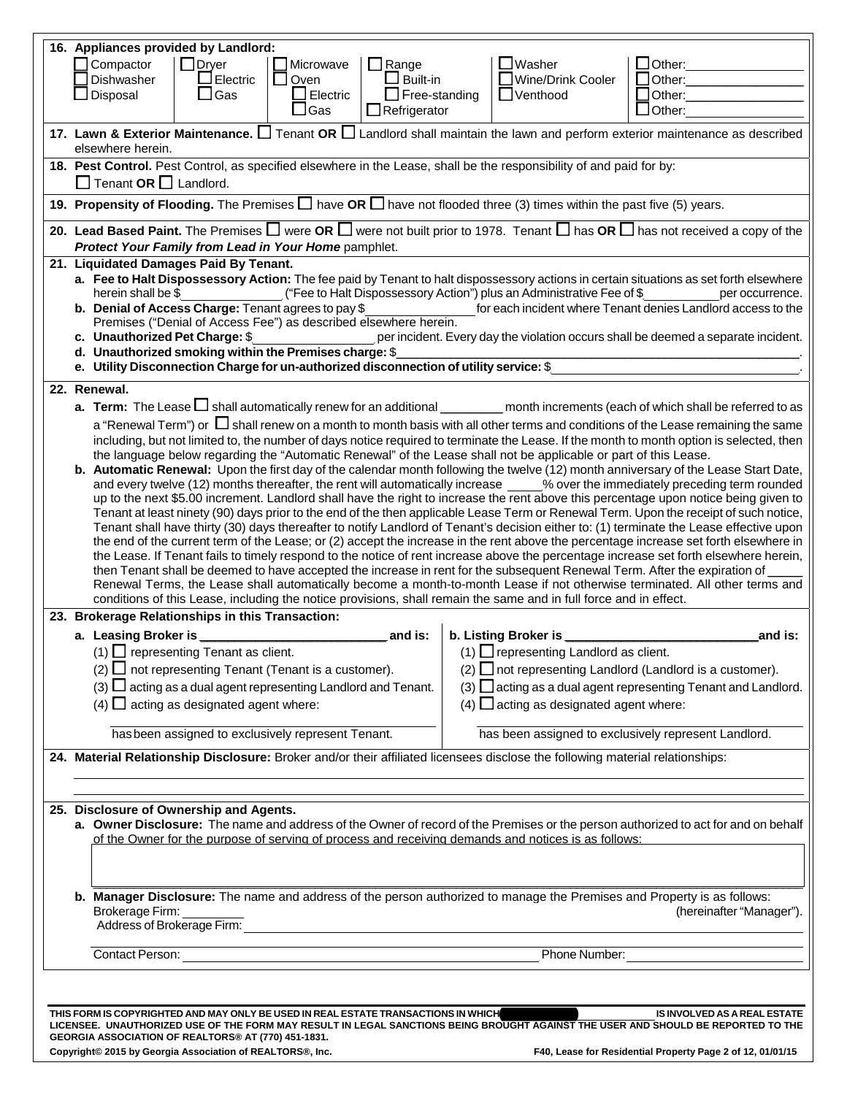|                                                                                                                                                                                                                                                                                                                                                                                                                                                                                                                                                                                                                                                                                                                                                                          | 16. Appliances provided by Landlord:                                                                                                                                                                                                                                                                                                                                                                                                                                                                                                                                                                                                                                                                                                                                                                                                                                                                                                                                                                                                                                                                                                                                                                                                                                                                                                                                                                                                                                                                                                                                                                                                                                                                                                                                                                                                                                                                                                                                                                                                                                                                                                                                                                                                                                                                                                                                                                                                       |                                                                                                                                                          |  |  |  |  |
|--------------------------------------------------------------------------------------------------------------------------------------------------------------------------------------------------------------------------------------------------------------------------------------------------------------------------------------------------------------------------------------------------------------------------------------------------------------------------------------------------------------------------------------------------------------------------------------------------------------------------------------------------------------------------------------------------------------------------------------------------------------------------|--------------------------------------------------------------------------------------------------------------------------------------------------------------------------------------------------------------------------------------------------------------------------------------------------------------------------------------------------------------------------------------------------------------------------------------------------------------------------------------------------------------------------------------------------------------------------------------------------------------------------------------------------------------------------------------------------------------------------------------------------------------------------------------------------------------------------------------------------------------------------------------------------------------------------------------------------------------------------------------------------------------------------------------------------------------------------------------------------------------------------------------------------------------------------------------------------------------------------------------------------------------------------------------------------------------------------------------------------------------------------------------------------------------------------------------------------------------------------------------------------------------------------------------------------------------------------------------------------------------------------------------------------------------------------------------------------------------------------------------------------------------------------------------------------------------------------------------------------------------------------------------------------------------------------------------------------------------------------------------------------------------------------------------------------------------------------------------------------------------------------------------------------------------------------------------------------------------------------------------------------------------------------------------------------------------------------------------------------------------------------------------------------------------------------------------------|----------------------------------------------------------------------------------------------------------------------------------------------------------|--|--|--|--|
|                                                                                                                                                                                                                                                                                                                                                                                                                                                                                                                                                                                                                                                                                                                                                                          | $\Box$ Dryer<br>$\Box$ Compactor<br>$\Box$ Range<br>Microwave<br>Dishwasher<br>$\Box$ Electric<br>$\square$ Oven<br>$\square$ Built-in<br>$\square$ Disposal<br>$\square$ Gas<br>$\Box$ Electric<br>$\Box$ Free-standing                                                                                                                                                                                                                                                                                                                                                                                                                                                                                                                                                                                                                                                                                                                                                                                                                                                                                                                                                                                                                                                                                                                                                                                                                                                                                                                                                                                                                                                                                                                                                                                                                                                                                                                                                                                                                                                                                                                                                                                                                                                                                                                                                                                                                   | $\Box$ Washer<br>$\Box$ Other:<br>□ Wine/Drink Cooler<br>$\Box$ Other:<br>$\Box$ Other:<br>$\Box$ Venthood                                               |  |  |  |  |
|                                                                                                                                                                                                                                                                                                                                                                                                                                                                                                                                                                                                                                                                                                                                                                          | $\square$ Gas<br>$\Box$ Refrigerator                                                                                                                                                                                                                                                                                                                                                                                                                                                                                                                                                                                                                                                                                                                                                                                                                                                                                                                                                                                                                                                                                                                                                                                                                                                                                                                                                                                                                                                                                                                                                                                                                                                                                                                                                                                                                                                                                                                                                                                                                                                                                                                                                                                                                                                                                                                                                                                                       | $\Box$ Other:<br>17. Lawn & Exterior Maintenance. $\Box$ Tenant OR $\Box$ Landlord shall maintain the lawn and perform exterior maintenance as described |  |  |  |  |
|                                                                                                                                                                                                                                                                                                                                                                                                                                                                                                                                                                                                                                                                                                                                                                          | elsewhere herein.                                                                                                                                                                                                                                                                                                                                                                                                                                                                                                                                                                                                                                                                                                                                                                                                                                                                                                                                                                                                                                                                                                                                                                                                                                                                                                                                                                                                                                                                                                                                                                                                                                                                                                                                                                                                                                                                                                                                                                                                                                                                                                                                                                                                                                                                                                                                                                                                                          |                                                                                                                                                          |  |  |  |  |
|                                                                                                                                                                                                                                                                                                                                                                                                                                                                                                                                                                                                                                                                                                                                                                          | 18. Pest Control. Pest Control, as specified elsewhere in the Lease, shall be the responsibility of and paid for by:<br>$\Box$ Tenant OR $\Box$ Landlord.                                                                                                                                                                                                                                                                                                                                                                                                                                                                                                                                                                                                                                                                                                                                                                                                                                                                                                                                                                                                                                                                                                                                                                                                                                                                                                                                                                                                                                                                                                                                                                                                                                                                                                                                                                                                                                                                                                                                                                                                                                                                                                                                                                                                                                                                                  |                                                                                                                                                          |  |  |  |  |
|                                                                                                                                                                                                                                                                                                                                                                                                                                                                                                                                                                                                                                                                                                                                                                          | 19. Propensity of Flooding. The Premises $\Box$ have OR $\Box$ have not flooded three (3) times within the past five (5) years.                                                                                                                                                                                                                                                                                                                                                                                                                                                                                                                                                                                                                                                                                                                                                                                                                                                                                                                                                                                                                                                                                                                                                                                                                                                                                                                                                                                                                                                                                                                                                                                                                                                                                                                                                                                                                                                                                                                                                                                                                                                                                                                                                                                                                                                                                                            |                                                                                                                                                          |  |  |  |  |
|                                                                                                                                                                                                                                                                                                                                                                                                                                                                                                                                                                                                                                                                                                                                                                          | 20. Lead Based Paint. The Premises $\square$ were OR $\square$ were not built prior to 1978. Tenant $\square$ has OR $\square$ has not received a copy of the<br>Protect Your Family from Lead in Your Home pamphlet.                                                                                                                                                                                                                                                                                                                                                                                                                                                                                                                                                                                                                                                                                                                                                                                                                                                                                                                                                                                                                                                                                                                                                                                                                                                                                                                                                                                                                                                                                                                                                                                                                                                                                                                                                                                                                                                                                                                                                                                                                                                                                                                                                                                                                      |                                                                                                                                                          |  |  |  |  |
| 21. Liquidated Damages Paid By Tenant.<br>a. Fee to Halt Dispossessory Action: The fee paid by Tenant to halt dispossessory actions in certain situations as set forth elsewhere<br>("Fee to Halt Dispossessory Action") plus an Administrative Fee of \$<br>herein shall be \$<br>per occurrence.<br>b. Denial of Access Charge: Tenant agrees to pay \$<br>for each incident where Tenant denies Landlord access to the<br>Premises ("Denial of Access Fee") as described elsewhere herein.<br>c. Unauthorized Pet Charge: \$<br>per incident. Every day the violation occurs shall be deemed a separate incident.<br>d. Unauthorized smoking within the Premises charge: \$<br>e. Utility Disconnection Charge for un-authorized disconnection of utility service: \$ |                                                                                                                                                                                                                                                                                                                                                                                                                                                                                                                                                                                                                                                                                                                                                                                                                                                                                                                                                                                                                                                                                                                                                                                                                                                                                                                                                                                                                                                                                                                                                                                                                                                                                                                                                                                                                                                                                                                                                                                                                                                                                                                                                                                                                                                                                                                                                                                                                                            |                                                                                                                                                          |  |  |  |  |
|                                                                                                                                                                                                                                                                                                                                                                                                                                                                                                                                                                                                                                                                                                                                                                          | 22. Renewal.                                                                                                                                                                                                                                                                                                                                                                                                                                                                                                                                                                                                                                                                                                                                                                                                                                                                                                                                                                                                                                                                                                                                                                                                                                                                                                                                                                                                                                                                                                                                                                                                                                                                                                                                                                                                                                                                                                                                                                                                                                                                                                                                                                                                                                                                                                                                                                                                                               |                                                                                                                                                          |  |  |  |  |
|                                                                                                                                                                                                                                                                                                                                                                                                                                                                                                                                                                                                                                                                                                                                                                          | a. Term: The Lease I shall automatically renew for an additional _________ month increments (each of which shall be referred to as<br>a "Renewal Term") or $\Box$ shall renew on a month to month basis with all other terms and conditions of the Lease remaining the same<br>including, but not limited to, the number of days notice required to terminate the Lease. If the month to month option is selected, then<br>the language below regarding the "Automatic Renewal" of the Lease shall not be applicable or part of this Lease.<br>b. Automatic Renewal: Upon the first day of the calendar month following the twelve (12) month anniversary of the Lease Start Date,<br>and every twelve (12) months thereafter, the rent will automatically increase ____% over the immediately preceding term rounded<br>up to the next \$5.00 increment. Landlord shall have the right to increase the rent above this percentage upon notice being given to<br>Tenant at least ninety (90) days prior to the end of the then applicable Lease Term or Renewal Term. Upon the receipt of such notice,<br>Tenant shall have thirty (30) days thereafter to notify Landlord of Tenant's decision either to: (1) terminate the Lease effective upon<br>the end of the current term of the Lease; or (2) accept the increase in the rent above the percentage increase set forth elsewhere in<br>the Lease. If Tenant fails to timely respond to the notice of rent increase above the percentage increase set forth elsewhere herein,<br>then Tenant shall be deemed to have accepted the increase in rent for the subsequent Renewal Term. After the expiration of<br>Renewal Terms, the Lease shall automatically become a month-to-month Lease if not otherwise terminated. All other terms and<br>conditions of this Lease, including the notice provisions, shall remain the same and in full force and in effect.<br>23. Brokerage Relationships in this Transaction:<br>b. Listing Broker is ________<br>a. Leasing Broker is __<br>and is:<br>and is:<br>$(1)$ $\Box$ representing Landlord as client.<br>$(1)$ representing Tenant as client.<br>$(2)$ $\Box$ not representing Tenant (Tenant is a customer).<br>$(2)$ $\Box$ not representing Landlord (Landlord is a customer).<br>$(3)$ $\Box$ acting as a dual agent representing Landlord and Tenant.<br>$(3)$ $\Box$ acting as a dual agent representing Tenant and Landlord. |                                                                                                                                                          |  |  |  |  |
|                                                                                                                                                                                                                                                                                                                                                                                                                                                                                                                                                                                                                                                                                                                                                                          | $(4)$ $\Box$ acting as designated agent where:                                                                                                                                                                                                                                                                                                                                                                                                                                                                                                                                                                                                                                                                                                                                                                                                                                                                                                                                                                                                                                                                                                                                                                                                                                                                                                                                                                                                                                                                                                                                                                                                                                                                                                                                                                                                                                                                                                                                                                                                                                                                                                                                                                                                                                                                                                                                                                                             | (4) $\Box$ acting as designated agent where:                                                                                                             |  |  |  |  |
|                                                                                                                                                                                                                                                                                                                                                                                                                                                                                                                                                                                                                                                                                                                                                                          | has been assigned to exclusively represent Tenant.                                                                                                                                                                                                                                                                                                                                                                                                                                                                                                                                                                                                                                                                                                                                                                                                                                                                                                                                                                                                                                                                                                                                                                                                                                                                                                                                                                                                                                                                                                                                                                                                                                                                                                                                                                                                                                                                                                                                                                                                                                                                                                                                                                                                                                                                                                                                                                                         | has been assigned to exclusively represent Landlord.                                                                                                     |  |  |  |  |
|                                                                                                                                                                                                                                                                                                                                                                                                                                                                                                                                                                                                                                                                                                                                                                          | 24. Material Relationship Disclosure: Broker and/or their affiliated licensees disclose the following material relationships:                                                                                                                                                                                                                                                                                                                                                                                                                                                                                                                                                                                                                                                                                                                                                                                                                                                                                                                                                                                                                                                                                                                                                                                                                                                                                                                                                                                                                                                                                                                                                                                                                                                                                                                                                                                                                                                                                                                                                                                                                                                                                                                                                                                                                                                                                                              |                                                                                                                                                          |  |  |  |  |
| 25. Disclosure of Ownership and Agents.<br>a. Owner Disclosure: The name and address of the Owner of record of the Premises or the person authorized to act for and on behalf<br>of the Owner for the purpose of serving of process and receiving demands and notices is as follows:                                                                                                                                                                                                                                                                                                                                                                                                                                                                                     |                                                                                                                                                                                                                                                                                                                                                                                                                                                                                                                                                                                                                                                                                                                                                                                                                                                                                                                                                                                                                                                                                                                                                                                                                                                                                                                                                                                                                                                                                                                                                                                                                                                                                                                                                                                                                                                                                                                                                                                                                                                                                                                                                                                                                                                                                                                                                                                                                                            |                                                                                                                                                          |  |  |  |  |
| b. Manager Disclosure: The name and address of the person authorized to manage the Premises and Property is as follows:<br>Brokerage Firm:<br>(hereinafter "Manager").<br>Address of Brokerage Firm:                                                                                                                                                                                                                                                                                                                                                                                                                                                                                                                                                                     |                                                                                                                                                                                                                                                                                                                                                                                                                                                                                                                                                                                                                                                                                                                                                                                                                                                                                                                                                                                                                                                                                                                                                                                                                                                                                                                                                                                                                                                                                                                                                                                                                                                                                                                                                                                                                                                                                                                                                                                                                                                                                                                                                                                                                                                                                                                                                                                                                                            |                                                                                                                                                          |  |  |  |  |
|                                                                                                                                                                                                                                                                                                                                                                                                                                                                                                                                                                                                                                                                                                                                                                          | Contact Person:                                                                                                                                                                                                                                                                                                                                                                                                                                                                                                                                                                                                                                                                                                                                                                                                                                                                                                                                                                                                                                                                                                                                                                                                                                                                                                                                                                                                                                                                                                                                                                                                                                                                                                                                                                                                                                                                                                                                                                                                                                                                                                                                                                                                                                                                                                                                                                                                                            | Phone Number:                                                                                                                                            |  |  |  |  |
|                                                                                                                                                                                                                                                                                                                                                                                                                                                                                                                                                                                                                                                                                                                                                                          |                                                                                                                                                                                                                                                                                                                                                                                                                                                                                                                                                                                                                                                                                                                                                                                                                                                                                                                                                                                                                                                                                                                                                                                                                                                                                                                                                                                                                                                                                                                                                                                                                                                                                                                                                                                                                                                                                                                                                                                                                                                                                                                                                                                                                                                                                                                                                                                                                                            |                                                                                                                                                          |  |  |  |  |
|                                                                                                                                                                                                                                                                                                                                                                                                                                                                                                                                                                                                                                                                                                                                                                          | THIS FORM IS COPYRIGHTED AND MAY ONLY BE USED IN REAL ESTATE TRANSACTIONS IN WHICH                                                                                                                                                                                                                                                                                                                                                                                                                                                                                                                                                                                                                                                                                                                                                                                                                                                                                                                                                                                                                                                                                                                                                                                                                                                                                                                                                                                                                                                                                                                                                                                                                                                                                                                                                                                                                                                                                                                                                                                                                                                                                                                                                                                                                                                                                                                                                         | IS INVOLVED AS A REAL ESTATE                                                                                                                             |  |  |  |  |
|                                                                                                                                                                                                                                                                                                                                                                                                                                                                                                                                                                                                                                                                                                                                                                          |                                                                                                                                                                                                                                                                                                                                                                                                                                                                                                                                                                                                                                                                                                                                                                                                                                                                                                                                                                                                                                                                                                                                                                                                                                                                                                                                                                                                                                                                                                                                                                                                                                                                                                                                                                                                                                                                                                                                                                                                                                                                                                                                                                                                                                                                                                                                                                                                                                            | LICENSEE. UNAUTHORIZED USE OF THE FORM MAY RESULT IN LEGAL SANCTIONS BEING BROUGHT AGAINST THE USER AND SHOULD BE REPORTED TO THE                        |  |  |  |  |

| GEORGIA ASSOCIATION OF REALTORS® AT (770) 451-1831.       |                                                            |
|-----------------------------------------------------------|------------------------------------------------------------|
| Copyright© 2015 by Georgia Association of REALTORS®, Inc. | F40, Lease for Residential Property Page 2 of 12, 01/01/15 |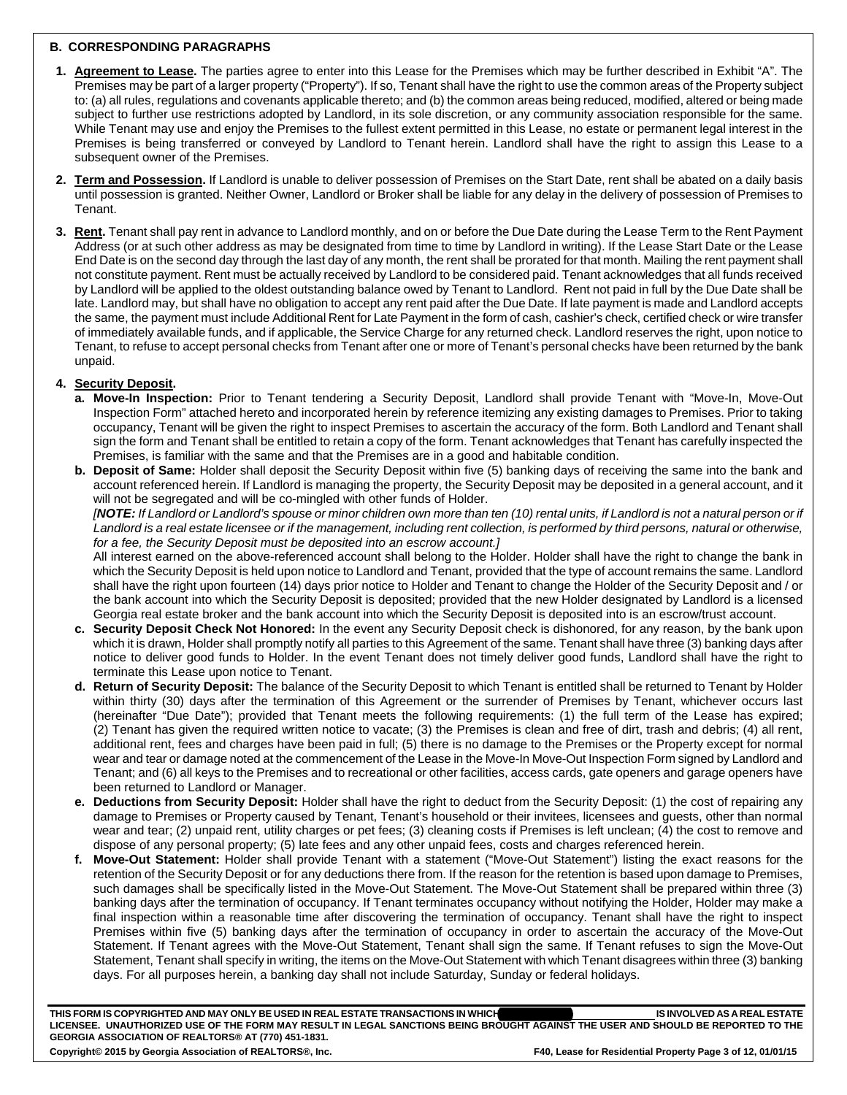### **B. CORRESPONDING PARAGRAPHS**

- **1. Agreement to Lease.** The parties agree to enter into this Lease for the Premises which may be further described in Exhibit "A". The Premises may be part of a larger property ("Property"). If so, Tenant shall have the right to use the common areas of the Property subject to: (a) all rules, regulations and covenants applicable thereto; and (b) the common areas being reduced, modified, altered or being made subject to further use restrictions adopted by Landlord, in its sole discretion, or any community association responsible for the same. While Tenant may use and enjoy the Premises to the fullest extent permitted in this Lease, no estate or permanent legal interest in the Premises is being transferred or conveyed by Landlord to Tenant herein. Landlord shall have the right to assign this Lease to a subsequent owner of the Premises.
- **2. Term and Possession.** If Landlord is unable to deliver possession of Premises on the Start Date, rent shall be abated on a daily basis until possession is granted. Neither Owner, Landlord or Broker shall be liable for any delay in the delivery of possession of Premises to Tenant.
- **3. Rent.** Tenant shall pay rent in advance to Landlord monthly, and on or before the Due Date during the Lease Term to the Rent Payment Address (or at such other address as may be designated from time to time by Landlord in writing). If the Lease Start Date or the Lease End Date is on the second day through the last day of any month, the rent shall be prorated for that month. Mailing the rent payment shall not constitute payment. Rent must be actually received by Landlord to be considered paid. Tenant acknowledges that all funds received by Landlord will be applied to the oldest outstanding balance owed by Tenant to Landlord. Rent not paid in full by the Due Date shall be late. Landlord may, but shall have no obligation to accept any rent paid after the Due Date. If late payment is made and Landlord accepts the same, the payment must include Additional Rent for Late Payment in the form of cash, cashier's check, certified check or wire transfer of immediately available funds, and if applicable, the Service Charge for any returned check. Landlord reserves the right, upon notice to Tenant, to refuse to accept personal checks from Tenant after one or more of Tenant's personal checks have been returned by the bank unpaid.

#### **4. Security Deposit.**

- **a. Move-In Inspection:** Prior to Tenant tendering a Security Deposit, Landlord shall provide Tenant with "Move-In, Move-Out Inspection Form" attached hereto and incorporated herein by reference itemizing any existing damages to Premises. Prior to taking occupancy, Tenant will be given the right to inspect Premises to ascertain the accuracy of the form. Both Landlord and Tenant shall sign the form and Tenant shall be entitled to retain a copy of the form. Tenant acknowledges that Tenant has carefully inspected the Premises, is familiar with the same and that the Premises are in a good and habitable condition.
- **b. Deposit of Same:** Holder shall deposit the Security Deposit within five (5) banking days of receiving the same into the bank and account referenced herein. If Landlord is managing the property, the Security Deposit may be deposited in a general account, and it will not be segregated and will be co-mingled with other funds of Holder.

*[NOTE: If Landlord or Landlord's spouse or minor children own more than ten (10) rental units, if Landlord is not a natural person or if* Landlord is a real estate licensee or if the management, including rent collection, is performed by third persons, natural or otherwise, *for a fee, the Security Deposit must be deposited into an escrow account.]*

All interest earned on the above-referenced account shall belong to the Holder. Holder shall have the right to change the bank in which the Security Deposit is held upon notice to Landlord and Tenant, provided that the type of account remains the same. Landlord shall have the right upon fourteen (14) days prior notice to Holder and Tenant to change the Holder of the Security Deposit and / or the bank account into which the Security Deposit is deposited; provided that the new Holder designated by Landlord is a licensed Georgia real estate broker and the bank account into which the Security Deposit is deposited into is an escrow/trust account.

- **c. Security Deposit Check Not Honored:** In the event any Security Deposit check is dishonored, for any reason, by the bank upon which it is drawn, Holder shall promptly notify all parties to this Agreement of the same. Tenant shall have three (3) banking days after notice to deliver good funds to Holder. In the event Tenant does not timely deliver good funds, Landlord shall have the right to terminate this Lease upon notice to Tenant.
- **d. Return of Security Deposit:** The balance of the Security Deposit to which Tenant is entitled shall be returned to Tenant by Holder within thirty (30) days after the termination of this Agreement or the surrender of Premises by Tenant, whichever occurs last (hereinafter "Due Date"); provided that Tenant meets the following requirements: (1) the full term of the Lease has expired; (2) Tenant has given the required written notice to vacate; (3) the Premises is clean and free of dirt, trash and debris; (4) all rent, additional rent, fees and charges have been paid in full; (5) there is no damage to the Premises or the Property except for normal wear and tear or damage noted at the commencement of the Lease in the Move-In Move-Out Inspection Form signed by Landlord and Tenant; and (6) all keys to the Premises and to recreational or other facilities, access cards, gate openers and garage openers have been returned to Landlord or Manager.
- **e. Deductions from Security Deposit:** Holder shall have the right to deduct from the Security Deposit: (1) the cost of repairing any damage to Premises or Property caused by Tenant, Tenant's household or their invitees, licensees and guests, other than normal wear and tear; (2) unpaid rent, utility charges or pet fees; (3) cleaning costs if Premises is left unclean; (4) the cost to remove and dispose of any personal property; (5) late fees and any other unpaid fees, costs and charges referenced herein.
- **f. Move-Out Statement:** Holder shall provide Tenant with a statement ("Move-Out Statement") listing the exact reasons for the retention of the Security Deposit or for any deductions there from. If the reason for the retention is based upon damage to Premises, such damages shall be specifically listed in the Move-Out Statement. The Move-Out Statement shall be prepared within three (3) banking days after the termination of occupancy. If Tenant terminates occupancy without notifying the Holder, Holder may make a final inspection within a reasonable time after discovering the termination of occupancy. Tenant shall have the right to inspect Premises within five (5) banking days after the termination of occupancy in order to ascertain the accuracy of the Move-Out Statement. If Tenant agrees with the Move-Out Statement, Tenant shall sign the same. If Tenant refuses to sign the Move-Out Statement, Tenant shall specify in writing, the items on the Move-Out Statement with which Tenant disagrees within three (3) banking days. For all purposes herein, a banking day shall not include Saturday, Sunday or federal holidays.

THIS FORM IS COPYRIGHTED AND MAY ONLY BE USED IN REAL ESTATE TRANSACTIONS IN WHICH **which are also as a set of the asset of the a LICENSEE. UNAUTHORIZED USE OF THE FORM MAY RESULT IN LEGAL SANCTIONS BEING BROUGHT AGAINST THE USER AND SHOULD BE REPORTED TO THE GEORGIA ASSOCIATION OF REALTORS® AT (770) 451-1831.**  Copyright© 2015 by Georgia Association of REALTORS®, Inc. FAD, Lease for Residential Property Page 3 of 12, 01/01/15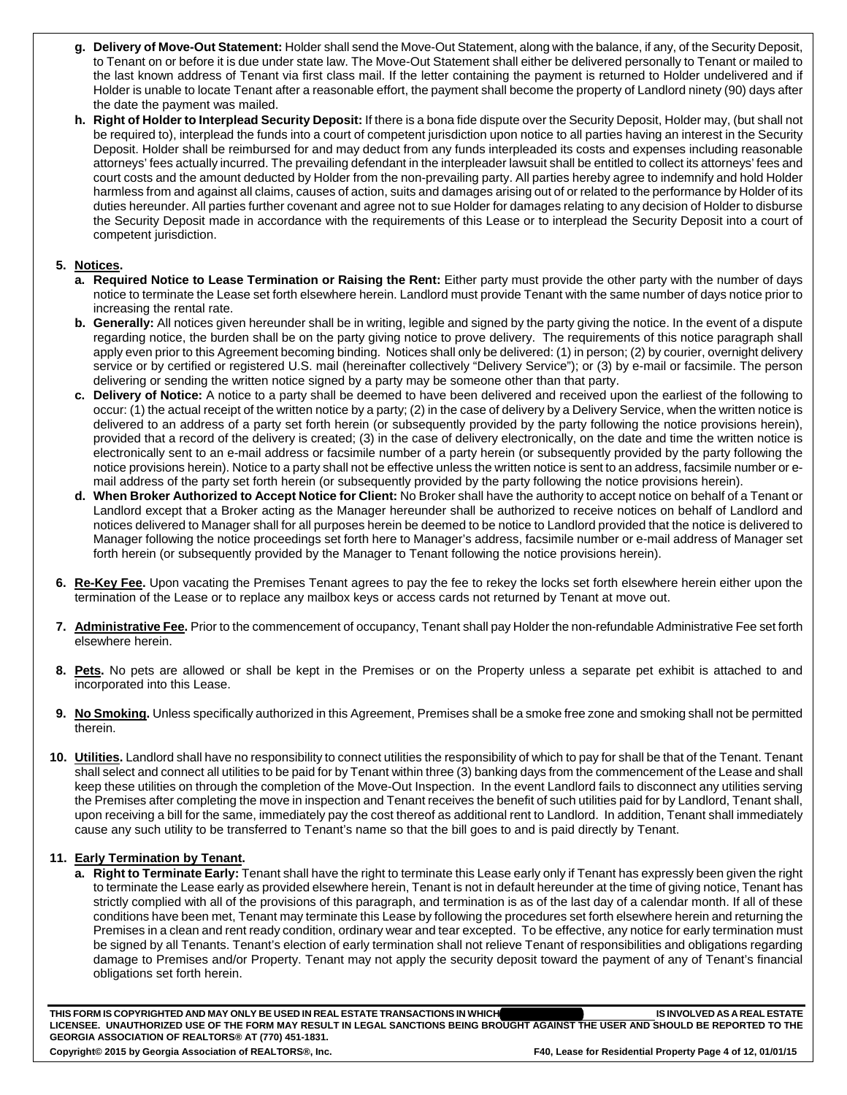- **g. Delivery of Move-Out Statement:** Holder shall send the Move-Out Statement, along with the balance, if any, of the Security Deposit, to Tenant on or before it is due under state law. The Move-Out Statement shall either be delivered personally to Tenant or mailed to the last known address of Tenant via first class mail. If the letter containing the payment is returned to Holder undelivered and if Holder is unable to locate Tenant after a reasonable effort, the payment shall become the property of Landlord ninety (90) days after the date the payment was mailed.
- **h. Right of Holder to Interplead Security Deposit:** If there is a bona fide dispute over the Security Deposit, Holder may, (but shall not be required to), interplead the funds into a court of competent jurisdiction upon notice to all parties having an interest in the Security Deposit. Holder shall be reimbursed for and may deduct from any funds interpleaded its costs and expenses including reasonable attorneys' fees actually incurred. The prevailing defendant in the interpleader lawsuit shall be entitled to collect its attorneys' fees and court costs and the amount deducted by Holder from the non-prevailing party. All parties hereby agree to indemnify and hold Holder harmless from and against all claims, causes of action, suits and damages arising out of or related to the performance by Holder of its duties hereunder. All parties further covenant and agree not to sue Holder for damages relating to any decision of Holder to disburse the Security Deposit made in accordance with the requirements of this Lease or to interplead the Security Deposit into a court of competent jurisdiction.

### **5. Notices.**

- **a. Required Notice to Lease Termination or Raising the Rent:** Either party must provide the other party with the number of days notice to terminate the Lease set forth elsewhere herein. Landlord must provide Tenant with the same number of days notice prior to increasing the rental rate.
- **b. Generally:** All notices given hereunder shall be in writing, legible and signed by the party giving the notice. In the event of a dispute regarding notice, the burden shall be on the party giving notice to prove delivery. The requirements of this notice paragraph shall apply even prior to this Agreement becoming binding. Notices shall only be delivered: (1) in person; (2) by courier, overnight delivery service or by certified or registered U.S. mail (hereinafter collectively "Delivery Service"); or (3) by e-mail or facsimile. The person delivering or sending the written notice signed by a party may be someone other than that party.
- **c. Delivery of Notice:** A notice to a party shall be deemed to have been delivered and received upon the earliest of the following to occur: (1) the actual receipt of the written notice by a party; (2) in the case of delivery by a Delivery Service, when the written notice is delivered to an address of a party set forth herein (or subsequently provided by the party following the notice provisions herein), provided that a record of the delivery is created; (3) in the case of delivery electronically, on the date and time the written notice is electronically sent to an e-mail address or facsimile number of a party herein (or subsequently provided by the party following the notice provisions herein). Notice to a party shall not be effective unless the written notice is sent to an address, facsimile number or email address of the party set forth herein (or subsequently provided by the party following the notice provisions herein).
- **d. When Broker Authorized to Accept Notice for Client:** No Broker shall have the authority to accept notice on behalf of a Tenant or Landlord except that a Broker acting as the Manager hereunder shall be authorized to receive notices on behalf of Landlord and notices delivered to Manager shall for all purposes herein be deemed to be notice to Landlord provided that the notice is delivered to Manager following the notice proceedings set forth here to Manager's address, facsimile number or e-mail address of Manager set forth herein (or subsequently provided by the Manager to Tenant following the notice provisions herein).
- **6. Re-Key Fee.** Upon vacating the Premises Tenant agrees to pay the fee to rekey the locks set forth elsewhere herein either upon the termination of the Lease or to replace any mailbox keys or access cards not returned by Tenant at move out.
- **7. Administrative Fee.** Prior to the commencement of occupancy, Tenant shall pay Holder the non-refundable Administrative Fee set forth elsewhere herein.
- **8. Pets.** No pets are allowed or shall be kept in the Premises or on the Property unless a separate pet exhibit is attached to and incorporated into this Lease.
- **9. No Smoking.** Unless specifically authorized in this Agreement, Premises shall be a smoke free zone and smoking shall not be permitted therein.
- **10. Utilities.** Landlord shall have no responsibility to connect utilities the responsibility of which to pay for shall be that of the Tenant. Tenant shall select and connect all utilities to be paid for by Tenant within three (3) banking days from the commencement of the Lease and shall keep these utilities on through the completion of the Move-Out Inspection. In the event Landlord fails to disconnect any utilities serving the Premises after completing the move in inspection and Tenant receives the benefit of such utilities paid for by Landlord, Tenant shall, upon receiving a bill for the same, immediately pay the cost thereof as additional rent to Landlord. In addition, Tenant shall immediately cause any such utility to be transferred to Tenant's name so that the bill goes to and is paid directly by Tenant.

#### **11. Early Termination by Tenant.**

**a. Right to Terminate Early:** Tenant shall have the right to terminate this Lease early only if Tenant has expressly been given the right to terminate the Lease early as provided elsewhere herein, Tenant is not in default hereunder at the time of giving notice, Tenant has strictly complied with all of the provisions of this paragraph, and termination is as of the last day of a calendar month. If all of these conditions have been met, Tenant may terminate this Lease by following the procedures set forth elsewhere herein and returning the Premises in a clean and rent ready condition, ordinary wear and tear excepted. To be effective, any notice for early termination must be signed by all Tenants. Tenant's election of early termination shall not relieve Tenant of responsibilities and obligations regarding damage to Premises and/or Property. Tenant may not apply the security deposit toward the payment of any of Tenant's financial obligations set forth herein.

THIS FORM IS COPYRIGHTED AND MAY ONLY BE USED IN REAL ESTATE TRANSACTIONS IN WHICH **which are also as a set of the asset of the a** THIS FORM IS COPYRIGHTED AND MAY ONLY BE USED IN REAL ESTATE TRANSACTIONS IN WHICH**WARE AND THE USER AND SHOULD BE REPORTED TO THE**<br>LICENSEE. UNAUTHORIZED USE OF THE FORM MAY RESULT IN LEGAL SANCTIONS BEING BROUGHT AGAINS **GEORGIA ASSOCIATION OF REALTORS® AT (770) 451-1831.**  Copyright© 2015 by Georgia Association of REALTORS®, Inc. FAD, Ease for Residential Property Page 4 of 12, 01/01/15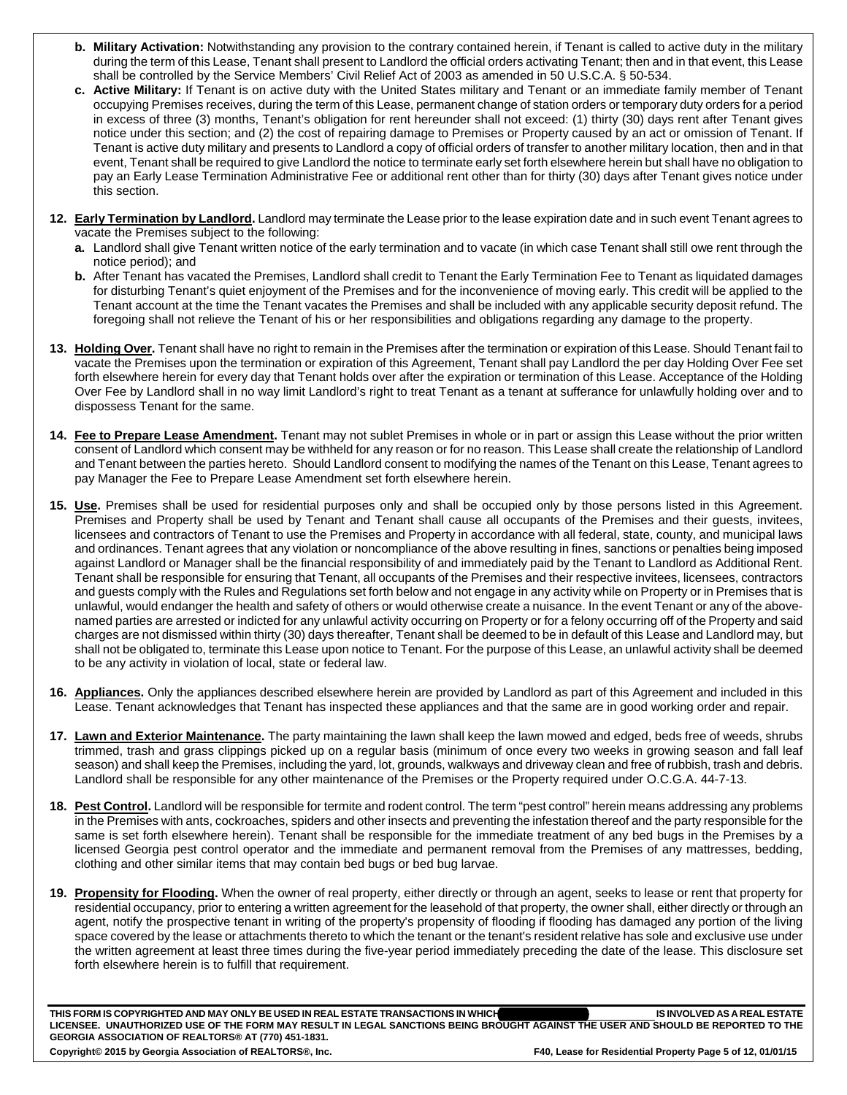- **b. Military Activation:** Notwithstanding any provision to the contrary contained herein, if Tenant is called to active duty in the military during the term of this Lease, Tenant shall present to Landlord the official orders activating Tenant; then and in that event, this Lease shall be controlled by the Service Members' Civil Relief Act of 2003 as amended in 50 U.S.C.A. § 50-534.
- **c. Active Military:** If Tenant is on active duty with the United States military and Tenant or an immediate family member of Tenant occupying Premises receives, during the term of this Lease, permanent change of station orders or temporary duty orders for a period in excess of three (3) months, Tenant's obligation for rent hereunder shall not exceed: (1) thirty (30) days rent after Tenant gives notice under this section; and (2) the cost of repairing damage to Premises or Property caused by an act or omission of Tenant. If Tenant is active duty military and presents to Landlord a copy of official orders of transfer to another military location, then and in that event, Tenant shall be required to give Landlord the notice to terminate early set forth elsewhere herein but shall have no obligation to pay an Early Lease Termination Administrative Fee or additional rent other than for thirty (30) days after Tenant gives notice under this section.
- **12. Early Termination by Landlord.** Landlord may terminate the Lease prior to the lease expiration date and in such event Tenant agrees to vacate the Premises subject to the following:
	- **a.** Landlord shall give Tenant written notice of the early termination and to vacate (in which case Tenant shall still owe rent through the notice period); and
	- **b.** After Tenant has vacated the Premises, Landlord shall credit to Tenant the Early Termination Fee to Tenant as liquidated damages for disturbing Tenant's quiet enjoyment of the Premises and for the inconvenience of moving early. This credit will be applied to the Tenant account at the time the Tenant vacates the Premises and shall be included with any applicable security deposit refund. The foregoing shall not relieve the Tenant of his or her responsibilities and obligations regarding any damage to the property.
- **13. Holding Over.** Tenant shall have no right to remain in the Premises after the termination or expiration of this Lease. Should Tenant fail to vacate the Premises upon the termination or expiration of this Agreement, Tenant shall pay Landlord the per day Holding Over Fee set forth elsewhere herein for every day that Tenant holds over after the expiration or termination of this Lease. Acceptance of the Holding Over Fee by Landlord shall in no way limit Landlord's right to treat Tenant as a tenant at sufferance for unlawfully holding over and to dispossess Tenant for the same.
- **14. Fee to Prepare Lease Amendment.** Tenant may not sublet Premises in whole or in part or assign this Lease without the prior written consent of Landlord which consent may be withheld for any reason or for no reason. This Lease shall create the relationship of Landlord and Tenant between the parties hereto. Should Landlord consent to modifying the names of the Tenant on this Lease, Tenant agrees to pay Manager the Fee to Prepare Lease Amendment set forth elsewhere herein.
- **15. Use.** Premises shall be used for residential purposes only and shall be occupied only by those persons listed in this Agreement. Premises and Property shall be used by Tenant and Tenant shall cause all occupants of the Premises and their guests, invitees, licensees and contractors of Tenant to use the Premises and Property in accordance with all federal, state, county, and municipal laws and ordinances. Tenant agrees that any violation or noncompliance of the above resulting in fines, sanctions or penalties being imposed against Landlord or Manager shall be the financial responsibility of and immediately paid by the Tenant to Landlord as Additional Rent. Tenant shall be responsible for ensuring that Tenant, all occupants of the Premises and their respective invitees, licensees, contractors and guests comply with the Rules and Regulations set forth below and not engage in any activity while on Property or in Premises that is unlawful, would endanger the health and safety of others or would otherwise create a nuisance. In the event Tenant or any of the abovenamed parties are arrested or indicted for any unlawful activity occurring on Property or for a felony occurring off of the Property and said charges are not dismissed within thirty (30) days thereafter, Tenant shall be deemed to be in default of this Lease and Landlord may, but shall not be obligated to, terminate this Lease upon notice to Tenant. For the purpose of this Lease, an unlawful activity shall be deemed to be any activity in violation of local, state or federal law.
- **16. Appliances.** Only the appliances described elsewhere herein are provided by Landlord as part of this Agreement and included in this Lease. Tenant acknowledges that Tenant has inspected these appliances and that the same are in good working order and repair.
- **17. Lawn and Exterior Maintenance.** The party maintaining the lawn shall keep the lawn mowed and edged, beds free of weeds, shrubs trimmed, trash and grass clippings picked up on a regular basis (minimum of once every two weeks in growing season and fall leaf season) and shall keep the Premises, including the yard, lot, grounds, walkways and driveway clean and free of rubbish, trash and debris. Landlord shall be responsible for any other maintenance of the Premises or the Property required under O.C.G.A. 44-7-13.
- **18. Pest Control.** Landlord will be responsible for termite and rodent control. The term "pest control" herein means addressing any problems in the Premises with ants, cockroaches, spiders and other insects and preventing the infestation thereof and the party responsible for the same is set forth elsewhere herein). Tenant shall be responsible for the immediate treatment of any bed bugs in the Premises by a licensed Georgia pest control operator and the immediate and permanent removal from the Premises of any mattresses, bedding, clothing and other similar items that may contain bed bugs or bed bug larvae.
- **19. Propensity for Flooding.** When the owner of real property, either directly or through an agent, seeks to lease or rent that property for residential occupancy, prior to entering a written agreement for the leasehold of that property, the owner shall, either directly or through an agent, notify the prospective tenant in writing of the property's propensity of flooding if flooding has damaged any portion of the living space covered by the lease or attachments thereto to which the tenant or the tenant's resident relative has sole and exclusive use under the written agreement at least three times during the five-year period immediately preceding the date of the lease. This disclosure set forth elsewhere herein is to fulfill that requirement.

THIS FORM IS COPYRIGHTED AND MAY ONLY BE USED IN REAL ESTATE TRANSACTIONS IN WHICH **which are also as a set of the asset of the a** THIS FORM IS COPYRIGHTED AND MAY ONLY BE USED IN REAL ESTATE TRANSACTIONS IN WHICH **And the USER AND SHOULD BE REPORTED TO THE**<br>LICENSEE. UNAUTHORIZED USE OF THE FORM MAY RESULT IN LEGAL SANCTIONS BEING BROUGHT AGAINST TH **GEORGIA ASSOCIATION OF REALTORS® AT (770) 451-1831.**  Copyright© 2015 by Georgia Association of REALTORS®, Inc. FAD, Ease for Residential Property Page 5 of 12, 01/01/15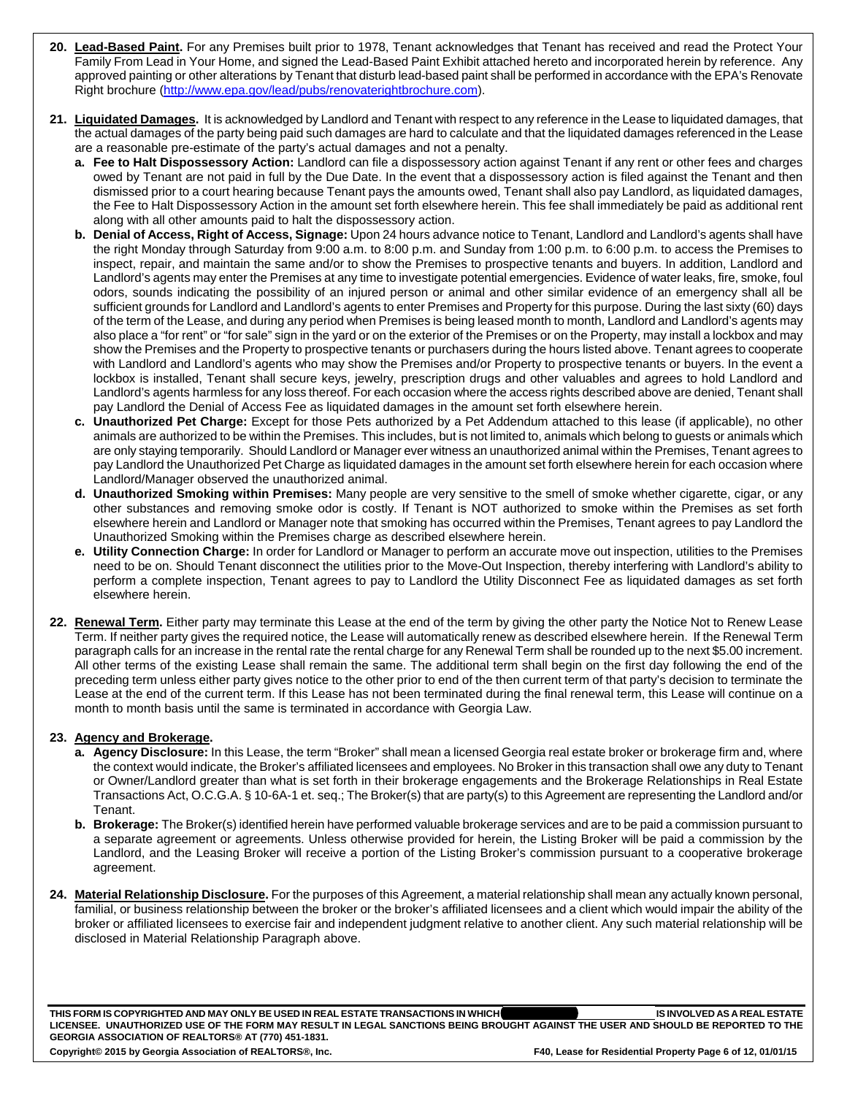- **20. Lead-Based Paint.** For any Premises built prior to 1978, Tenant acknowledges that Tenant has received and read the Protect Your Family From Lead in Your Home, and signed the Lead-Based Paint Exhibit attached hereto and incorporated herein by reference. Any approved painting or other alterations by Tenant that disturb lead-based paint shall be performed in accordance with the EPA's Renovate Right brochure (http://www.epa.gov/lead/pubs/renovaterightbrochure.com).
- **21. Liquidated Damages.** It is acknowledged by Landlord and Tenant with respect to any reference in the Lease to liquidated damages, that the actual damages of the party being paid such damages are hard to calculate and that the liquidated damages referenced in the Lease are a reasonable pre-estimate of the party's actual damages and not a penalty.
	- **a. Fee to Halt Dispossessory Action:** Landlord can file a dispossessory action against Tenant if any rent or other fees and charges owed by Tenant are not paid in full by the Due Date. In the event that a dispossessory action is filed against the Tenant and then dismissed prior to a court hearing because Tenant pays the amounts owed, Tenant shall also pay Landlord, as liquidated damages, the Fee to Halt Dispossessory Action in the amount set forth elsewhere herein. This fee shall immediately be paid as additional rent along with all other amounts paid to halt the dispossessory action.
	- **b. Denial of Access, Right of Access, Signage:** Upon 24 hours advance notice to Tenant, Landlord and Landlord's agents shall have the right Monday through Saturday from 9:00 a.m. to 8:00 p.m. and Sunday from 1:00 p.m. to 6:00 p.m. to access the Premises to inspect, repair, and maintain the same and/or to show the Premises to prospective tenants and buyers. In addition, Landlord and Landlord's agents may enter the Premises at any time to investigate potential emergencies. Evidence of water leaks, fire, smoke, foul odors, sounds indicating the possibility of an injured person or animal and other similar evidence of an emergency shall all be sufficient grounds for Landlord and Landlord's agents to enter Premises and Property for this purpose. During the last sixty (60) days of the term of the Lease, and during any period when Premises is being leased month to month, Landlord and Landlord's agents may also place a "for rent" or "for sale" sign in the yard or on the exterior of the Premises or on the Property, may install a lockbox and may show the Premises and the Property to prospective tenants or purchasers during the hours listed above. Tenant agrees to cooperate with Landlord and Landlord's agents who may show the Premises and/or Property to prospective tenants or buyers. In the event a lockbox is installed, Tenant shall secure keys, jewelry, prescription drugs and other valuables and agrees to hold Landlord and Landlord's agents harmless for any loss thereof. For each occasion where the access rights described above are denied, Tenant shall pay Landlord the Denial of Access Fee as liquidated damages in the amount set forth elsewhere herein.
	- **c. Unauthorized Pet Charge:** Except for those Pets authorized by a Pet Addendum attached to this lease (if applicable), no other animals are authorized to be within the Premises. This includes, but is not limited to, animals which belong to guests or animals which are only staying temporarily. Should Landlord or Manager ever witness an unauthorized animal within the Premises, Tenant agrees to pay Landlord the Unauthorized Pet Charge as liquidated damages in the amount set forth elsewhere herein for each occasion where Landlord/Manager observed the unauthorized animal.
	- **d. Unauthorized Smoking within Premises:** Many people are very sensitive to the smell of smoke whether cigarette, cigar, or any other substances and removing smoke odor is costly. If Tenant is NOT authorized to smoke within the Premises as set forth elsewhere herein and Landlord or Manager note that smoking has occurred within the Premises, Tenant agrees to pay Landlord the Unauthorized Smoking within the Premises charge as described elsewhere herein.
	- **e. Utility Connection Charge:** In order for Landlord or Manager to perform an accurate move out inspection, utilities to the Premises need to be on. Should Tenant disconnect the utilities prior to the Move-Out Inspection, thereby interfering with Landlord's ability to perform a complete inspection, Tenant agrees to pay to Landlord the Utility Disconnect Fee as liquidated damages as set forth elsewhere herein.
- **22. Renewal Term.** Either party may terminate this Lease at the end of the term by giving the other party the Notice Not to Renew Lease Term. If neither party gives the required notice, the Lease will automatically renew as described elsewhere herein. If the Renewal Term paragraph calls for an increase in the rental rate the rental charge for any Renewal Term shall be rounded up to the next \$5.00 increment. All other terms of the existing Lease shall remain the same. The additional term shall begin on the first day following the end of the preceding term unless either party gives notice to the other prior to end of the then current term of that party's decision to terminate the Lease at the end of the current term. If this Lease has not been terminated during the final renewal term, this Lease will continue on a month to month basis until the same is terminated in accordance with Georgia Law.

## **23. Agency and Brokerage.**

- **a. Agency Disclosure:** In this Lease, the term "Broker" shall mean a licensed Georgia real estate broker or brokerage firm and, where the context would indicate, the Broker's affiliated licensees and employees. No Broker in this transaction shall owe any duty to Tenant or Owner/Landlord greater than what is set forth in their brokerage engagements and the Brokerage Relationships in Real Estate Transactions Act, O.C.G.A. § 10-6A-1 et. seq.; The Broker(s) that are party(s) to this Agreement are representing the Landlord and/or Tenant.
- **b. Brokerage:** The Broker(s) identified herein have performed valuable brokerage services and are to be paid a commission pursuant to a separate agreement or agreements. Unless otherwise provided for herein, the Listing Broker will be paid a commission by the Landlord, and the Leasing Broker will receive a portion of the Listing Broker's commission pursuant to a cooperative brokerage agreement.
- **24. Material Relationship Disclosure.** For the purposes of this Agreement, a material relationship shall mean any actually known personal, familial, or business relationship between the broker or the broker's affiliated licensees and a client which would impair the ability of the broker or affiliated licensees to exercise fair and independent judgment relative to another client. Any such material relationship will be disclosed in Material Relationship Paragraph above.

**THIS FORM IS COPYRIGHTED AND MAY ONLY BE USED IN REAL ESTATE TRANSACTIONS IN WHICH \_\_\_\_\_\_\_\_\_\_\_\_\_\_\_\_\_\_\_\_\_\_\_\_\_\_\_\_\_ IS INVOLVED AS A REAL ESTATE LICENSEE. UNAUTHORIZED USE OF THE FORM MAY RESULT IN LEGAL SANCTIONS BEING BROUGHT AGAINST THE USER AND SHOULD BE REPORTED TO THE GEORGIA ASSOCIATION OF REALTORS® AT (770) 451-1831.** 

Copyright© 2015 by Georgia Association of REALTORS®, Inc. FAD, Ease for Residential Property Page 6 of 12, 01/01/15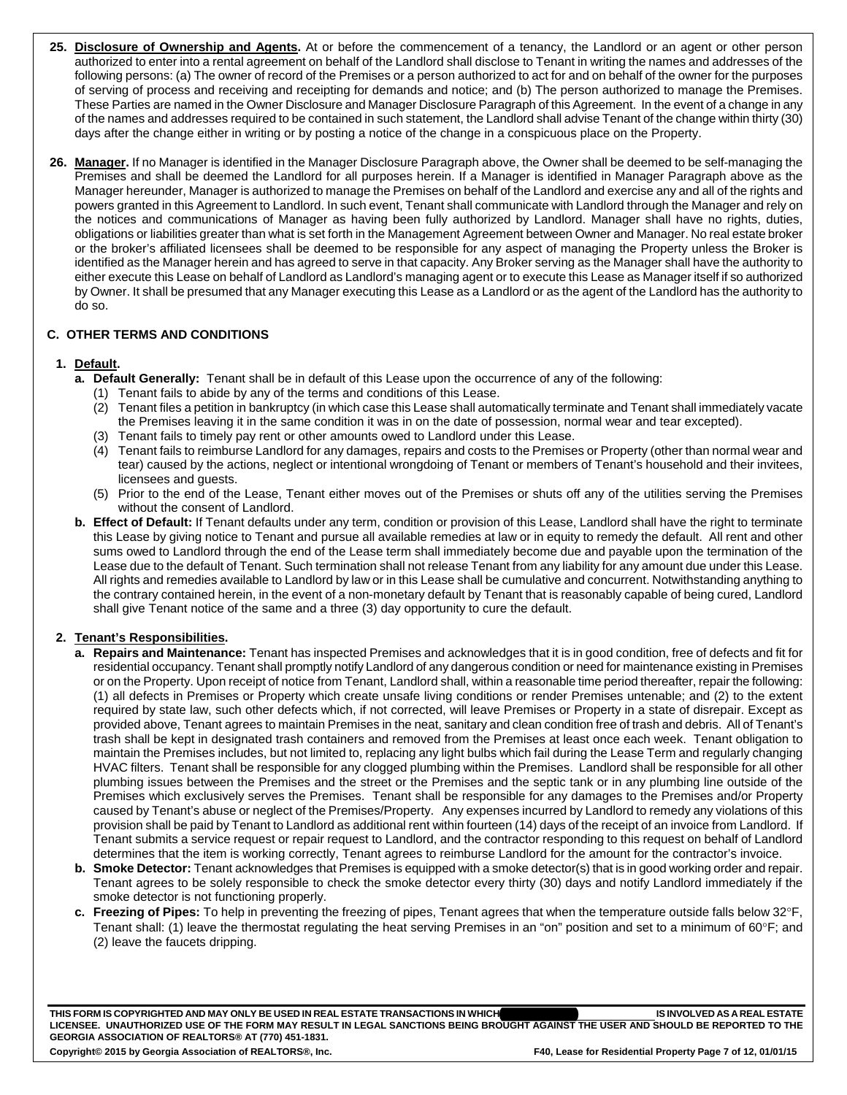- **25. Disclosure of Ownership and Agents.** At or before the commencement of a tenancy, the Landlord or an agent or other person authorized to enter into a rental agreement on behalf of the Landlord shall disclose to Tenant in writing the names and addresses of the following persons: (a) The owner of record of the Premises or a person authorized to act for and on behalf of the owner for the purposes of serving of process and receiving and receipting for demands and notice; and (b) The person authorized to manage the Premises. These Parties are named in the Owner Disclosure and Manager Disclosure Paragraph of this Agreement. In the event of a change in any of the names and addresses required to be contained in such statement, the Landlord shall advise Tenant of the change within thirty (30) days after the change either in writing or by posting a notice of the change in a conspicuous place on the Property.
- **26. Manager.** If no Manager is identified in the Manager Disclosure Paragraph above, the Owner shall be deemed to be self-managing the Premises and shall be deemed the Landlord for all purposes herein. If a Manager is identified in Manager Paragraph above as the Manager hereunder, Manager is authorized to manage the Premises on behalf of the Landlord and exercise any and all of the rights and powers granted in this Agreement to Landlord. In such event, Tenant shall communicate with Landlord through the Manager and rely on the notices and communications of Manager as having been fully authorized by Landlord. Manager shall have no rights, duties, obligations or liabilities greater than what is set forth in the Management Agreement between Owner and Manager. No real estate broker or the broker's affiliated licensees shall be deemed to be responsible for any aspect of managing the Property unless the Broker is identified as the Manager herein and has agreed to serve in that capacity. Any Broker serving as the Manager shall have the authority to either execute this Lease on behalf of Landlord as Landlord's managing agent or to execute this Lease as Manager itself if so authorized by Owner. It shall be presumed that any Manager executing this Lease as a Landlord or as the agent of the Landlord has the authority to do so.

## **C. OTHER TERMS AND CONDITIONS**

## **1. Default.**

- **a. Default Generally:** Tenant shall be in default of this Lease upon the occurrence of any of the following:
	- (1) Tenant fails to abide by any of the terms and conditions of this Lease.
	- (2) Tenant files a petition in bankruptcy (in which case this Lease shall automatically terminate and Tenant shall immediately vacate the Premises leaving it in the same condition it was in on the date of possession, normal wear and tear excepted).
	- (3) Tenant fails to timely pay rent or other amounts owed to Landlord under this Lease.
	- (4) Tenant fails to reimburse Landlord for any damages, repairs and costs to the Premises or Property (other than normal wear and tear) caused by the actions, neglect or intentional wrongdoing of Tenant or members of Tenant's household and their invitees, licensees and guests.
	- (5) Prior to the end of the Lease, Tenant either moves out of the Premises or shuts off any of the utilities serving the Premises without the consent of Landlord.
- **b. Effect of Default:** If Tenant defaults under any term, condition or provision of this Lease, Landlord shall have the right to terminate this Lease by giving notice to Tenant and pursue all available remedies at law or in equity to remedy the default. All rent and other sums owed to Landlord through the end of the Lease term shall immediately become due and payable upon the termination of the Lease due to the default of Tenant. Such termination shall not release Tenant from any liability for any amount due under this Lease. All rights and remedies available to Landlord by law or in this Lease shall be cumulative and concurrent. Notwithstanding anything to the contrary contained herein, in the event of a non-monetary default by Tenant that is reasonably capable of being cured, Landlord shall give Tenant notice of the same and a three (3) day opportunity to cure the default.

## **2. Tenant's Responsibilities.**

- **a. Repairs and Maintenance:** Tenant has inspected Premises and acknowledges that it is in good condition, free of defects and fit for residential occupancy. Tenant shall promptly notify Landlord of any dangerous condition or need for maintenance existing in Premises or on the Property. Upon receipt of notice from Tenant, Landlord shall, within a reasonable time period thereafter, repair the following: (1) all defects in Premises or Property which create unsafe living conditions or render Premises untenable; and (2) to the extent required by state law, such other defects which, if not corrected, will leave Premises or Property in a state of disrepair. Except as provided above, Tenant agrees to maintain Premises in the neat, sanitary and clean condition free of trash and debris. All of Tenant's trash shall be kept in designated trash containers and removed from the Premises at least once each week. Tenant obligation to maintain the Premises includes, but not limited to, replacing any light bulbs which fail during the Lease Term and regularly changing HVAC filters. Tenant shall be responsible for any clogged plumbing within the Premises. Landlord shall be responsible for all other plumbing issues between the Premises and the street or the Premises and the septic tank or in any plumbing line outside of the Premises which exclusively serves the Premises. Tenant shall be responsible for any damages to the Premises and/or Property caused by Tenant's abuse or neglect of the Premises/Property. Any expenses incurred by Landlord to remedy any violations of this provision shall be paid by Tenant to Landlord as additional rent within fourteen (14) days of the receipt of an invoice from Landlord. If Tenant submits a service request or repair request to Landlord, and the contractor responding to this request on behalf of Landlord determines that the item is working correctly, Tenant agrees to reimburse Landlord for the amount for the contractor's invoice.
- **b. Smoke Detector:** Tenant acknowledges that Premises is equipped with a smoke detector(s) that is in good working order and repair. Tenant agrees to be solely responsible to check the smoke detector every thirty (30) days and notify Landlord immediately if the smoke detector is not functioning properly.
- **c. Freezing of Pipes:** To help in preventing the freezing of pipes, Tenant agrees that when the temperature outside falls below 32F, Tenant shall: (1) leave the thermostat regulating the heat serving Premises in an "on" position and set to a minimum of 60°F; and (2) leave the faucets dripping.

THIS FORM IS COPYRIGHTED AND MAY ONLY BE USED IN REAL ESTATE TRANSACTIONS IN WHICH **which are also as a set of the state** of the state of the state of the state of the state of the state of the state of the state of the st THIS FORM IS COPYRIGHTED AND MAY ONLY BE USED IN REAL ESTATE TRANSACTIONS IN WHICH**ICH AGAINST THE USER AND SHOULD BE REPORTED TO THE**<br>LICENSEE. UNAUTHORIZED USE OF THE FORM MAY RESULT IN LEGAL SANCTIONS BEING BROUGHT AGA **GEORGIA ASSOCIATION OF REALTORS® AT (770) 451-1831.**  Copyright© 2015 by Georgia Association of REALTORS®, Inc. FAD, F40, Lease for Residential Property Page 7 of 12, 01/01/15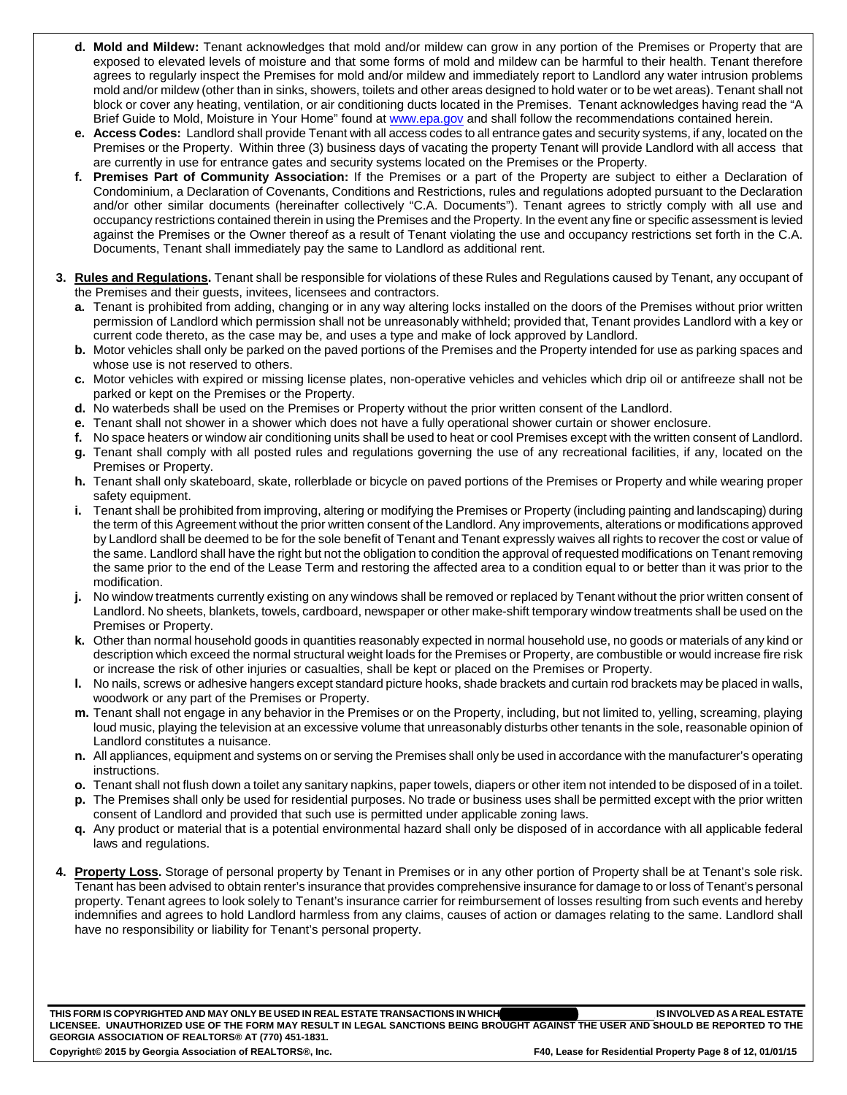- **d. Mold and Mildew:** Tenant acknowledges that mold and/or mildew can grow in any portion of the Premises or Property that are exposed to elevated levels of moisture and that some forms of mold and mildew can be harmful to their health. Tenant therefore agrees to regularly inspect the Premises for mold and/or mildew and immediately report to Landlord any water intrusion problems mold and/or mildew (other than in sinks, showers, toilets and other areas designed to hold water or to be wet areas). Tenant shall not block or cover any heating, ventilation, or air conditioning ducts located in the Premises. Tenant acknowledges having read the "A Brief Guide to Mold, Moisture in Your Home" found at www.epa.gov and shall follow the recommendations contained herein.
- **e. Access Codes:** Landlord shall provide Tenant with all access codes to all entrance gates and security systems, if any, located on the Premises or the Property. Within three (3) business days of vacating the property Tenant will provide Landlord with all access that are currently in use for entrance gates and security systems located on the Premises or the Property.
- **f. Premises Part of Community Association:** If the Premises or a part of the Property are subject to either a Declaration of Condominium, a Declaration of Covenants, Conditions and Restrictions, rules and regulations adopted pursuant to the Declaration and/or other similar documents (hereinafter collectively "C.A. Documents"). Tenant agrees to strictly comply with all use and occupancy restrictions contained therein in using the Premises and the Property. In the event any fine or specific assessment is levied against the Premises or the Owner thereof as a result of Tenant violating the use and occupancy restrictions set forth in the C.A. Documents, Tenant shall immediately pay the same to Landlord as additional rent.
- **3. Rules and Regulations.** Tenant shall be responsible for violations of these Rules and Regulations caused by Tenant, any occupant of the Premises and their guests, invitees, licensees and contractors.
	- **a.** Tenant is prohibited from adding, changing or in any way altering locks installed on the doors of the Premises without prior written permission of Landlord which permission shall not be unreasonably withheld; provided that, Tenant provides Landlord with a key or current code thereto, as the case may be, and uses a type and make of lock approved by Landlord.
	- **b.** Motor vehicles shall only be parked on the paved portions of the Premises and the Property intended for use as parking spaces and whose use is not reserved to others.
	- **c.** Motor vehicles with expired or missing license plates, non-operative vehicles and vehicles which drip oil or antifreeze shall not be parked or kept on the Premises or the Property.
	- **d.** No waterbeds shall be used on the Premises or Property without the prior written consent of the Landlord.
	- **e.** Tenant shall not shower in a shower which does not have a fully operational shower curtain or shower enclosure.
	- **f.** No space heaters or window air conditioning units shall be used to heat or cool Premises except with the written consent of Landlord.
	- **g.** Tenant shall comply with all posted rules and regulations governing the use of any recreational facilities, if any, located on the Premises or Property.
	- **h.** Tenant shall only skateboard, skate, rollerblade or bicycle on paved portions of the Premises or Property and while wearing proper safety equipment.
	- **i.** Tenant shall be prohibited from improving, altering or modifying the Premises or Property (including painting and landscaping) during the term of this Agreement without the prior written consent of the Landlord. Any improvements, alterations or modifications approved by Landlord shall be deemed to be for the sole benefit of Tenant and Tenant expressly waives all rights to recover the cost or value of the same. Landlord shall have the right but not the obligation to condition the approval of requested modifications on Tenant removing the same prior to the end of the Lease Term and restoring the affected area to a condition equal to or better than it was prior to the modification.
	- **j.** No window treatments currently existing on any windows shall be removed or replaced by Tenant without the prior written consent of Landlord. No sheets, blankets, towels, cardboard, newspaper or other make-shift temporary window treatments shall be used on the Premises or Property.
	- **k.** Other than normal household goods in quantities reasonably expected in normal household use, no goods or materials of any kind or description which exceed the normal structural weight loads for the Premises or Property, are combustible or would increase fire risk or increase the risk of other injuries or casualties, shall be kept or placed on the Premises or Property.
	- **l.** No nails, screws or adhesive hangers except standard picture hooks, shade brackets and curtain rod brackets may be placed in walls, woodwork or any part of the Premises or Property.
	- **m.** Tenant shall not engage in any behavior in the Premises or on the Property, including, but not limited to, yelling, screaming, playing loud music, playing the television at an excessive volume that unreasonably disturbs other tenants in the sole, reasonable opinion of Landlord constitutes a nuisance.
	- **n.** All appliances, equipment and systems on or serving the Premises shall only be used in accordance with the manufacturer's operating instructions.
	- **o.** Tenant shall not flush down a toilet any sanitary napkins, paper towels, diapers or other item not intended to be disposed of in a toilet.
	- **p.** The Premises shall only be used for residential purposes. No trade or business uses shall be permitted except with the prior written consent of Landlord and provided that such use is permitted under applicable zoning laws.
	- **q.** Any product or material that is a potential environmental hazard shall only be disposed of in accordance with all applicable federal laws and regulations.
- **4. Property Loss.** Storage of personal property by Tenant in Premises or in any other portion of Property shall be at Tenant's sole risk. Tenant has been advised to obtain renter's insurance that provides comprehensive insurance for damage to or loss of Tenant's personal property. Tenant agrees to look solely to Tenant's insurance carrier for reimbursement of losses resulting from such events and hereby indemnifies and agrees to hold Landlord harmless from any claims, causes of action or damages relating to the same. Landlord shall have no responsibility or liability for Tenant's personal property.

**THIS FORM IS COPYRIGHTED AND MAY ONLY BE USED IN REAL ESTATE TRANSACTIONS IN WHICH \_\_\_\_\_\_\_\_\_\_\_\_\_\_\_\_\_\_\_\_\_\_\_\_\_\_\_\_\_ IS INVOLVED AS A REAL ESTATE**  THIS FORM IS COPYRIGHTED AND MAY ONLY BE USED IN REAL ESTATE TRANSACTIONS IN WHICH**ICH AGAINST THE USER AND SHOULD BE REPORTED TO THE**<br>LICENSEE. UNAUTHORIZED USE OF THE FORM MAY RESULT IN LEGAL SANCTIONS BEING BROUGHT AGA **GEORGIA ASSOCIATION OF REALTORS® AT (770) 451-1831.** 

Copyright© 2015 by Georgia Association of REALTORS®, Inc. FAD, Ease for Residential Property Page 8 of 12, 01/01/15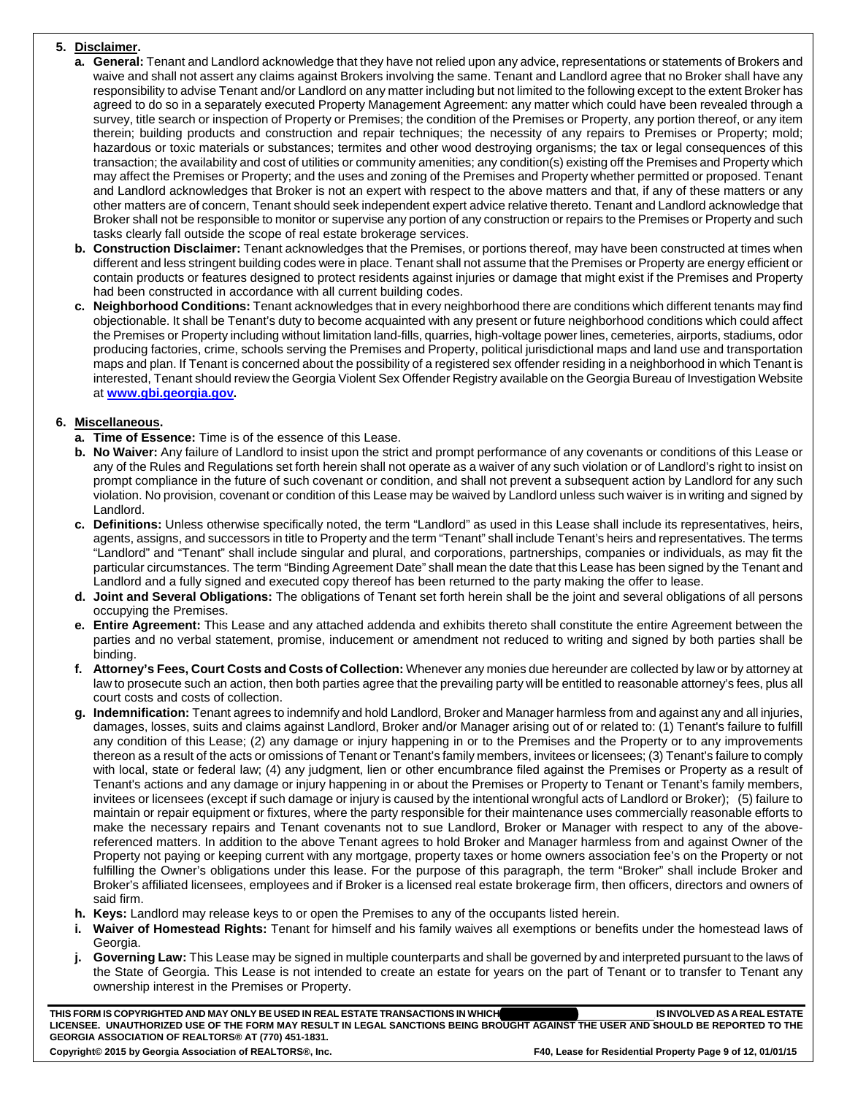## **5. Disclaimer.**

- **a. General:** Tenant and Landlord acknowledge that they have not relied upon any advice, representations or statements of Brokers and waive and shall not assert any claims against Brokers involving the same. Tenant and Landlord agree that no Broker shall have any responsibility to advise Tenant and/or Landlord on any matter including but not limited to the following except to the extent Broker has agreed to do so in a separately executed Property Management Agreement: any matter which could have been revealed through a survey, title search or inspection of Property or Premises; the condition of the Premises or Property, any portion thereof, or any item therein; building products and construction and repair techniques; the necessity of any repairs to Premises or Property; mold; hazardous or toxic materials or substances; termites and other wood destroying organisms; the tax or legal consequences of this transaction; the availability and cost of utilities or community amenities; any condition(s) existing off the Premises and Property which may affect the Premises or Property; and the uses and zoning of the Premises and Property whether permitted or proposed. Tenant and Landlord acknowledges that Broker is not an expert with respect to the above matters and that, if any of these matters or any other matters are of concern, Tenant should seek independent expert advice relative thereto. Tenant and Landlord acknowledge that Broker shall not be responsible to monitor or supervise any portion of any construction or repairs to the Premises or Property and such tasks clearly fall outside the scope of real estate brokerage services.
- **b. Construction Disclaimer:** Tenant acknowledges that the Premises, or portions thereof, may have been constructed at times when different and less stringent building codes were in place. Tenant shall not assume that the Premises or Property are energy efficient or contain products or features designed to protect residents against injuries or damage that might exist if the Premises and Property had been constructed in accordance with all current building codes.
- **c. Neighborhood Conditions:** Tenant acknowledges that in every neighborhood there are conditions which different tenants may find objectionable. It shall be Tenant's duty to become acquainted with any present or future neighborhood conditions which could affect the Premises or Property including without limitation land-fills, quarries, high-voltage power lines, cemeteries, airports, stadiums, odor producing factories, crime, schools serving the Premises and Property, political jurisdictional maps and land use and transportation maps and plan. If Tenant is concerned about the possibility of a registered sex offender residing in a neighborhood in which Tenant is interested, Tenant should review the Georgia Violent Sex Offender Registry available on the Georgia Bureau of Investigation Website at **www.gbi.georgia.gov.**

## **6. Miscellaneous.**

- **a. Time of Essence:** Time is of the essence of this Lease.
- **b. No Waiver:** Any failure of Landlord to insist upon the strict and prompt performance of any covenants or conditions of this Lease or any of the Rules and Regulations set forth herein shall not operate as a waiver of any such violation or of Landlord's right to insist on prompt compliance in the future of such covenant or condition, and shall not prevent a subsequent action by Landlord for any such violation. No provision, covenant or condition of this Lease may be waived by Landlord unless such waiver is in writing and signed by Landlord.
- **c. Definitions:** Unless otherwise specifically noted, the term "Landlord" as used in this Lease shall include its representatives, heirs, agents, assigns, and successors in title to Property and the term "Tenant" shall include Tenant's heirs and representatives. The terms "Landlord" and "Tenant" shall include singular and plural, and corporations, partnerships, companies or individuals, as may fit the particular circumstances. The term "Binding Agreement Date" shall mean the date that this Lease has been signed by the Tenant and Landlord and a fully signed and executed copy thereof has been returned to the party making the offer to lease.
- **d. Joint and Several Obligations:** The obligations of Tenant set forth herein shall be the joint and several obligations of all persons occupying the Premises.
- **e. Entire Agreement:** This Lease and any attached addenda and exhibits thereto shall constitute the entire Agreement between the parties and no verbal statement, promise, inducement or amendment not reduced to writing and signed by both parties shall be binding.
- **f. Attorney's Fees, Court Costs and Costs of Collection:** Whenever any monies due hereunder are collected by law or by attorney at law to prosecute such an action, then both parties agree that the prevailing party will be entitled to reasonable attorney's fees, plus all court costs and costs of collection.
- **g. Indemnification:** Tenant agrees to indemnify and hold Landlord, Broker and Manager harmless from and against any and all injuries, damages, losses, suits and claims against Landlord, Broker and/or Manager arising out of or related to: (1) Tenant's failure to fulfill any condition of this Lease; (2) any damage or injury happening in or to the Premises and the Property or to any improvements thereon as a result of the acts or omissions of Tenant or Tenant's family members, invitees or licensees; (3) Tenant's failure to comply with local, state or federal law; (4) any judgment, lien or other encumbrance filed against the Premises or Property as a result of Tenant's actions and any damage or injury happening in or about the Premises or Property to Tenant or Tenant's family members, invitees or licensees (except if such damage or injury is caused by the intentional wrongful acts of Landlord or Broker); (5) failure to maintain or repair equipment or fixtures, where the party responsible for their maintenance uses commercially reasonable efforts to make the necessary repairs and Tenant covenants not to sue Landlord, Broker or Manager with respect to any of the abovereferenced matters. In addition to the above Tenant agrees to hold Broker and Manager harmless from and against Owner of the Property not paying or keeping current with any mortgage, property taxes or home owners association fee's on the Property or not fulfilling the Owner's obligations under this lease. For the purpose of this paragraph, the term "Broker" shall include Broker and Broker's affiliated licensees, employees and if Broker is a licensed real estate brokerage firm, then officers, directors and owners of said firm.
- **h. Keys:** Landlord may release keys to or open the Premises to any of the occupants listed herein.
- **i. Waiver of Homestead Rights:** Tenant for himself and his family waives all exemptions or benefits under the homestead laws of Georgia.
- **j. Governing Law:** This Lease may be signed in multiple counterparts and shall be governed by and interpreted pursuant to the laws of the State of Georgia. This Lease is not intended to create an estate for years on the part of Tenant or to transfer to Tenant any ownership interest in the Premises or Property.

**THIS FORM IS COPYRIGHTED AND MAY ONLY BE USED IN REAL ESTATE TRANSACTIONS IN WHICH \_\_\_\_\_\_\_\_\_\_\_\_\_\_\_\_\_\_\_\_\_\_\_\_\_\_\_\_\_ IS INVOLVED AS A REAL ESTATE**  THIS FORM IS COPYRIGHTED AND MAY ONLY BE USED IN REAL ESTATE TRANSACTIONS IN WHICH**ICH AGAINST THE USER AND SHOULD BE REPORTED TO THE**<br>LICENSEE. UNAUTHORIZED USE OF THE FORM MAY RESULT IN LEGAL SANCTIONS BEING BROUGHT AGA **GEORGIA ASSOCIATION OF REALTORS® AT (770) 451-1831.**  Copyright© 2015 by Georgia Association of REALTORS®, Inc. F50, F40, Lease for Residential Property Page 9 of 12, 01/01/15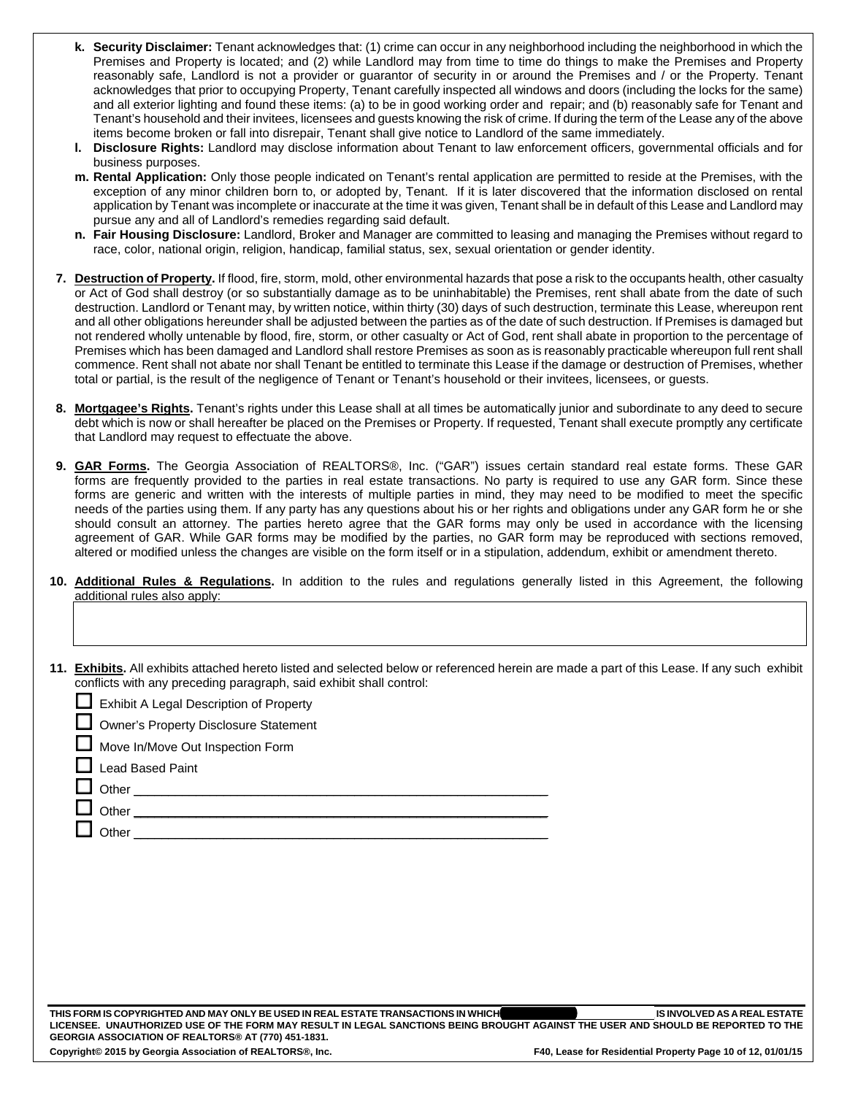- **k. Security Disclaimer:** Tenant acknowledges that: (1) crime can occur in any neighborhood including the neighborhood in which the Premises and Property is located; and (2) while Landlord may from time to time do things to make the Premises and Property reasonably safe, Landlord is not a provider or guarantor of security in or around the Premises and / or the Property. Tenant acknowledges that prior to occupying Property, Tenant carefully inspected all windows and doors (including the locks for the same) and all exterior lighting and found these items: (a) to be in good working order and repair; and (b) reasonably safe for Tenant and Tenant's household and their invitees, licensees and guests knowing the risk of crime. If during the term of the Lease any of the above items become broken or fall into disrepair, Tenant shall give notice to Landlord of the same immediately.
- **l. Disclosure Rights:** Landlord may disclose information about Tenant to law enforcement officers, governmental officials and for business purposes.
- **m. Rental Application:** Only those people indicated on Tenant's rental application are permitted to reside at the Premises, with the exception of any minor children born to, or adopted by, Tenant. If it is later discovered that the information disclosed on rental application by Tenant was incomplete or inaccurate at the time it was given, Tenant shall be in default of this Lease and Landlord may pursue any and all of Landlord's remedies regarding said default.
- **n. Fair Housing Disclosure:** Landlord, Broker and Manager are committed to leasing and managing the Premises without regard to race, color, national origin, religion, handicap, familial status, sex, sexual orientation or gender identity.
- **7. Destruction of Property.** If flood, fire, storm, mold, other environmental hazards that pose a risk to the occupants health, other casualty or Act of God shall destroy (or so substantially damage as to be uninhabitable) the Premises, rent shall abate from the date of such destruction. Landlord or Tenant may, by written notice, within thirty (30) days of such destruction, terminate this Lease, whereupon rent and all other obligations hereunder shall be adjusted between the parties as of the date of such destruction. If Premises is damaged but not rendered wholly untenable by flood, fire, storm, or other casualty or Act of God, rent shall abate in proportion to the percentage of Premises which has been damaged and Landlord shall restore Premises as soon as is reasonably practicable whereupon full rent shall commence. Rent shall not abate nor shall Tenant be entitled to terminate this Lease if the damage or destruction of Premises, whether total or partial, is the result of the negligence of Tenant or Tenant's household or their invitees, licensees, or guests.
- **8. Mortgagee's Rights.** Tenant's rights under this Lease shall at all times be automatically junior and subordinate to any deed to secure debt which is now or shall hereafter be placed on the Premises or Property. If requested, Tenant shall execute promptly any certificate that Landlord may request to effectuate the above.
- **9. GAR Forms.** The Georgia Association of REALTORS®, Inc. ("GAR") issues certain standard real estate forms. These GAR forms are frequently provided to the parties in real estate transactions. No party is required to use any GAR form. Since these forms are generic and written with the interests of multiple parties in mind, they may need to be modified to meet the specific needs of the parties using them. If any party has any questions about his or her rights and obligations under any GAR form he or she should consult an attorney. The parties hereto agree that the GAR forms may only be used in accordance with the licensing agreement of GAR. While GAR forms may be modified by the parties, no GAR form may be reproduced with sections removed, altered or modified unless the changes are visible on the form itself or in a stipulation, addendum, exhibit or amendment thereto.
- **10. Additional Rules & Regulations.** In addition to the rules and regulations generally listed in this Agreement, the following additional rules also apply:
- **11. Exhibits.** All exhibits attached hereto listed and selected below or referenced herein are made a part of this Lease. If any such exhibit conflicts with any preceding paragraph, said exhibit shall control:

 $\mathcal{L}_\mathcal{L} = \mathcal{L}_\mathcal{L} = \mathcal{L}_\mathcal{L} = \mathcal{L}_\mathcal{L} = \mathcal{L}_\mathcal{L} = \mathcal{L}_\mathcal{L} = \mathcal{L}_\mathcal{L} = \mathcal{L}_\mathcal{L} = \mathcal{L}_\mathcal{L} = \mathcal{L}_\mathcal{L} = \mathcal{L}_\mathcal{L} = \mathcal{L}_\mathcal{L} = \mathcal{L}_\mathcal{L} = \mathcal{L}_\mathcal{L} = \mathcal{L}_\mathcal{L} = \mathcal{L}_\mathcal{L} = \mathcal{L}_\mathcal{L}$ 

Exhibit A Legal Description of Property

Owner's Property Disclosure Statement

Move In/Move Out Inspection Form

Lead Based Paint

Other \_\_\_\_\_\_\_\_\_\_\_\_\_\_\_\_\_\_\_\_\_\_\_\_\_\_\_\_\_\_\_\_\_\_\_\_\_\_\_\_\_\_\_\_\_\_\_\_\_\_\_\_\_\_\_\_\_\_\_\_

Other \_\_\_\_\_\_\_\_\_\_\_\_\_\_\_\_\_\_\_\_\_\_\_\_\_\_\_\_\_\_\_\_\_\_\_\_\_\_\_\_\_\_\_\_\_\_\_\_\_\_\_\_\_\_\_\_\_\_\_\_

Other **Latter** 

**THIS FORM IS COPYRIGHTED AND MAY ONLY BE USED IN REAL ESTATE TRANSACTIONS IN WHICH \_\_\_\_\_\_\_\_\_\_\_\_\_\_\_\_\_\_\_\_\_\_\_\_\_\_\_\_\_ IS INVOLVED AS A REAL ESTATE LICENSEE. UNAUTHORIZED USE OF THE FORM MAY RESULT IN LEGAL SANCTIONS BEING BROUGHT AGAINST THE USER AND SHOULD BE REPORTED TO THE GEORGIA ASSOCIATION OF REALTORS® AT (770) 451-1831.**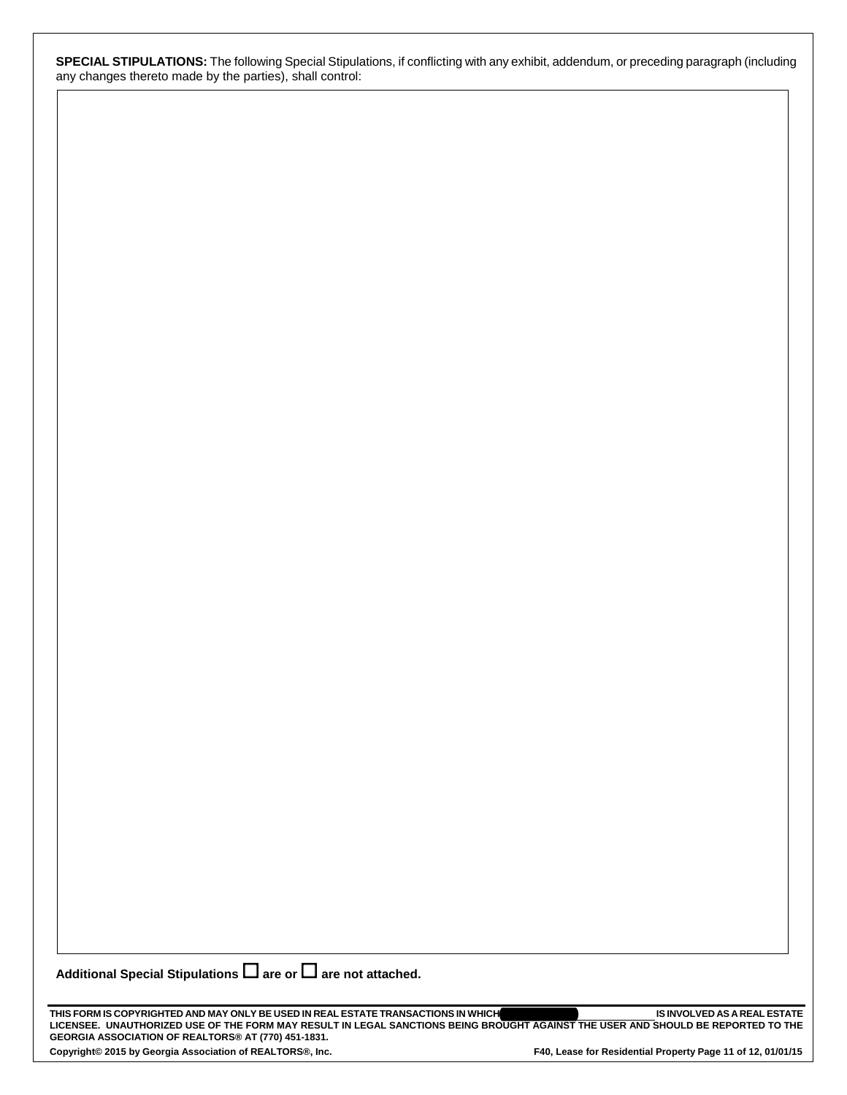**SPECIAL STIPULATIONS:** The following Special Stipulations, if conflicting with any exhibit, addendum, or preceding paragraph (including any changes thereto made by the parties), shall control:

Additional Special Stipulations  $\Box$  are or  $\Box$  are not attached.

**THIS FORM IS COPYRIGHTED AND MAY ONLY BE USED IN REAL ESTATE TRANSACTIONS IN WHICH \_\_\_\_\_\_\_\_\_\_\_\_\_\_\_\_\_\_\_\_\_\_\_\_\_\_\_\_\_ IS INVOLVED AS A REAL ESTATE**  THIS FORM IS COPYRIGHTED AND MAY ONLY BE USED IN REAL ESTATE TRANSACTIONS IN WHICH**ICH AGAINST THE USER AND SHOULD BE REPORTED TO THE**<br>LICENSEE. UNAUTHORIZED USE OF THE FORM MAY RESULT IN LEGAL SANCTIONS BEING BROUGHT AGA **GEORGIA ASSOCIATION OF REALTORS® AT (770) 451-1831.** 

Copyright© 2015 by Georgia Association of REALTORS®, Inc. F40, Lease for Residential Property Page 11 of 12, 01/01/15